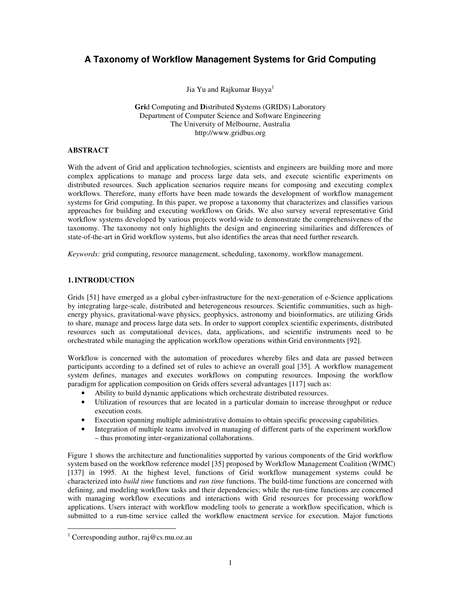# **A Taxonomy of Workflow Management Systems for Grid Computing**

Jia Yu and Rajkumar Buyya<sup>1</sup>

**Gri**d Computing and **D**istributed **S**ystems (GRIDS) Laboratory Department of Computer Science and Software Engineering The University of Melbourne, Australia http://www.gridbus.org

# **ABSTRACT**

With the advent of Grid and application technologies, scientists and engineers are building more and more complex applications to manage and process large data sets, and execute scientific experiments on distributed resources. Such application scenarios require means for composing and executing complex workflows. Therefore, many efforts have been made towards the development of workflow management systems for Grid computing. In this paper, we propose a taxonomy that characterizes and classifies various approaches for building and executing workflows on Grids. We also survey several representative Grid workflow systems developed by various projects world-wide to demonstrate the comprehensiveness of the taxonomy. The taxonomy not only highlights the design and engineering similarities and differences of state-of-the-art in Grid workflow systems, but also identifies the areas that need further research.

*Keywords:* grid computing, resource management, scheduling, taxonomy, workflow management.

# **1.INTRODUCTION**

Grids [51] have emerged as a global cyber-infrastructure for the next-generation of e-Science applications by integrating large-scale, distributed and heterogeneous resources. Scientific communities, such as highenergy physics, gravitational-wave physics, geophysics, astronomy and bioinformatics, are utilizing Grids to share, manage and process large data sets. In order to support complex scientific experiments, distributed resources such as computational devices, data, applications, and scientific instruments need to be orchestrated while managing the application workflow operations within Grid environments [92].

Workflow is concerned with the automation of procedures whereby files and data are passed between participants according to a defined set of rules to achieve an overall goal [35]. A workflow management system defines, manages and executes workflows on computing resources. Imposing the workflow paradigm for application composition on Grids offers several advantages [117] such as:

- Ability to build dynamic applications which orchestrate distributed resources.
- Utilization of resources that are located in a particular domain to increase throughput or reduce execution costs.
- Execution spanning multiple administrative domains to obtain specific processing capabilities.
- Integration of multiple teams involved in managing of different parts of the experiment workflow – thus promoting inter-organizational collaborations.

Figure 1 shows the architecture and functionalities supported by various components of the Grid workflow system based on the workflow reference model [35] proposed by Workflow Management Coalition (WfMC) [137] in 1995. At the highest level, functions of Grid workflow management systems could be characterized into *build time* functions and *run time* functions. The build-time functions are concerned with defining, and modeling workflow tasks and their dependencies; while the run-time functions are concerned with managing workflow executions and interactions with Grid resources for processing workflow applications. Users interact with workflow modeling tools to generate a workflow specification, which is submitted to a run-time service called the workflow enactment service for execution. Major functions

 $\overline{a}$ 

<sup>1</sup> Corresponding author, raj@cs.mu.oz.au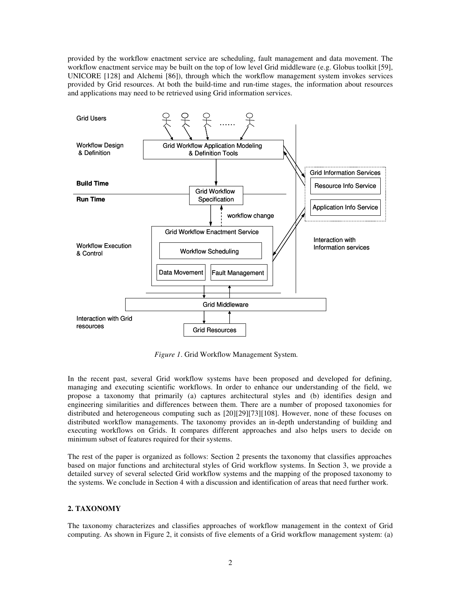provided by the workflow enactment service are scheduling, fault management and data movement. The workflow enactment service may be built on the top of low level Grid middleware (e.g. Globus toolkit [59], UNICORE [128] and Alchemi [86]), through which the workflow management system invokes services provided by Grid resources. At both the build-time and run-time stages, the information about resources and applications may need to be retrieved using Grid information services.



*Figure 1*. Grid Workflow Management System.

In the recent past, several Grid workflow systems have been proposed and developed for defining, managing and executing scientific workflows. In order to enhance our understanding of the field, we propose a taxonomy that primarily (a) captures architectural styles and (b) identifies design and engineering similarities and differences between them. There are a number of proposed taxonomies for distributed and heterogeneous computing such as [20][29][73][108]. However, none of these focuses on distributed workflow managements. The taxonomy provides an in-depth understanding of building and executing workflows on Grids. It compares different approaches and also helps users to decide on minimum subset of features required for their systems.

The rest of the paper is organized as follows: Section 2 presents the taxonomy that classifies approaches based on major functions and architectural styles of Grid workflow systems. In Section 3, we provide a detailed survey of several selected Grid workflow systems and the mapping of the proposed taxonomy to the systems. We conclude in Section 4 with a discussion and identification of areas that need further work.

#### **2. TAXONOMY**

The taxonomy characterizes and classifies approaches of workflow management in the context of Grid computing. As shown in Figure 2, it consists of five elements of a Grid workflow management system: (a)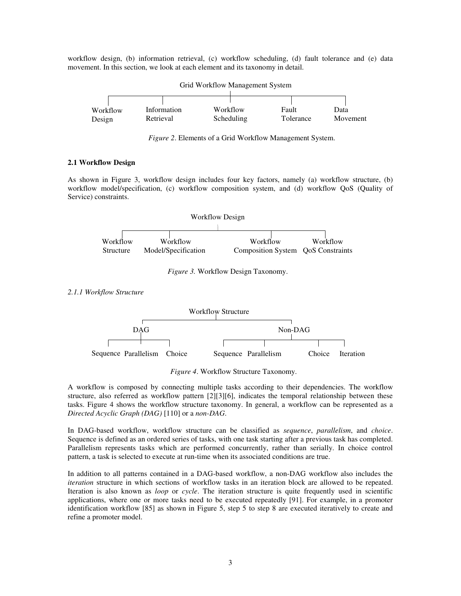workflow design, (b) information retrieval, (c) workflow scheduling, (d) fault tolerance and (e) data movement. In this section, we look at each element and its taxonomy in detail.



*Figure 2*. Elements of a Grid Workflow Management System.

#### **2.1 Workflow Design**

As shown in Figure 3, workflow design includes four key factors, namely (a) workflow structure, (b) workflow model/specification, (c) workflow composition system, and (d) workflow QoS (Quality of Service) constraints.



*Figure 3.* Workflow Design Taxonomy.

*2.1.1 Workflow Structure* 



*Figure 4*. Workflow Structure Taxonomy.

A workflow is composed by connecting multiple tasks according to their dependencies. The workflow structure, also referred as workflow pattern [2][3][6], indicates the temporal relationship between these tasks. Figure 4 shows the workflow structure taxonomy. In general, a workflow can be represented as a *Directed Acyclic Graph (DAG)* [110] or a *non-DAG*.

In DAG-based workflow, workflow structure can be classified as *sequence*, *parallelism*, and *choice*. Sequence is defined as an ordered series of tasks, with one task starting after a previous task has completed. Parallelism represents tasks which are performed concurrently, rather than serially. In choice control pattern, a task is selected to execute at run-time when its associated conditions are true.

In addition to all patterns contained in a DAG-based workflow, a non-DAG workflow also includes the *iteration* structure in which sections of workflow tasks in an iteration block are allowed to be repeated. Iteration is also known as *loop* or *cycle*. The iteration structure is quite frequently used in scientific applications, where one or more tasks need to be executed repeatedly [91]. For example, in a promoter identification workflow [85] as shown in Figure 5, step 5 to step 8 are executed iteratively to create and refine a promoter model.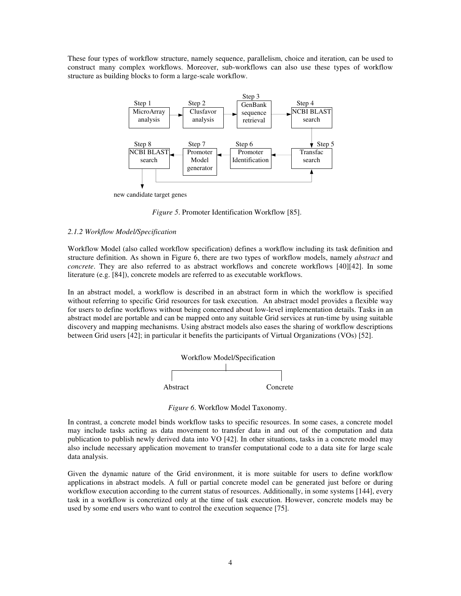These four types of workflow structure, namely sequence, parallelism, choice and iteration, can be used to construct many complex workflows. Moreover, sub-workflows can also use these types of workflow structure as building blocks to form a large-scale workflow.



new candidate target genes

*Figure 5*. Promoter Identification Workflow [85].

#### *2.1.2 Workflow Model/Specification*

Workflow Model (also called workflow specification) defines a workflow including its task definition and structure definition. As shown in Figure 6, there are two types of workflow models, namely *abstract* and *concrete*. They are also referred to as abstract workflows and concrete workflows [40][42]. In some literature (e.g. [84]), concrete models are referred to as executable workflows.

In an abstract model, a workflow is described in an abstract form in which the workflow is specified without referring to specific Grid resources for task execution. An abstract model provides a flexible way for users to define workflows without being concerned about low-level implementation details. Tasks in an abstract model are portable and can be mapped onto any suitable Grid services at run-time by using suitable discovery and mapping mechanisms. Using abstract models also eases the sharing of workflow descriptions between Grid users [42]; in particular it benefits the participants of Virtual Organizations (VOs) [52].



*Figure 6*. Workflow Model Taxonomy.

In contrast, a concrete model binds workflow tasks to specific resources. In some cases, a concrete model may include tasks acting as data movement to transfer data in and out of the computation and data publication to publish newly derived data into VO [42]. In other situations, tasks in a concrete model may also include necessary application movement to transfer computational code to a data site for large scale data analysis.

Given the dynamic nature of the Grid environment, it is more suitable for users to define workflow applications in abstract models. A full or partial concrete model can be generated just before or during workflow execution according to the current status of resources. Additionally, in some systems [144], every task in a workflow is concretized only at the time of task execution. However, concrete models may be used by some end users who want to control the execution sequence [75].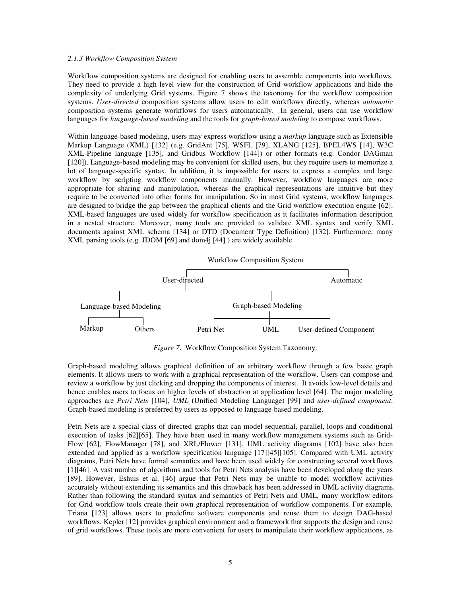#### *2.1.3 Workflow Composition System*

Workflow composition systems are designed for enabling users to assemble components into workflows. They need to provide a high level view for the construction of Grid workflow applications and hide the complexity of underlying Grid systems. Figure 7 shows the taxonomy for the workflow composition systems. *User-directed* composition systems allow users to edit workflows directly, whereas *automatic*  composition systems generate workflows for users automatically. In general, users can use workflow languages for *language-based modeling* and the tools for *graph-based modeling* to compose workflows.

Within language-based modeling, users may express workflow using a *markup* language such as Extensible Markup Language (XML) [132] (e.g. GridAnt [75], WSFL [79], XLANG [125], BPEL4WS [14], W3C XML-Pipeline language [135], and Gridbus Workflow [144]) or other formats (e.g. Condor DAGman [120]). Language-based modeling may be convenient for skilled users, but they require users to memorize a lot of language-specific syntax. In addition, it is impossible for users to express a complex and large workflow by scripting workflow components manually. However, workflow languages are more appropriate for sharing and manipulation, whereas the graphical representations are intuitive but they require to be converted into other forms for manipulation. So in most Grid systems, workflow languages are designed to bridge the gap between the graphical clients and the Grid workflow execution engine [62]. XML-based languages are used widely for workflow specification as it facilitates information description in a nested structure. Moreover, many tools are provided to validate XML syntax and verify XML documents against XML schema [134] or DTD (Document Type Definition) [132]. Furthermore, many XML parsing tools (e.g. JDOM [69] and dom4j [44] ) are widely available.



*Figure 7*. Workflow Composition System Taxonomy.

Graph-based modeling allows graphical definition of an arbitrary workflow through a few basic graph elements. It allows users to work with a graphical representation of the workflow. Users can compose and review a workflow by just clicking and dropping the components of interest. It avoids low-level details and hence enables users to focus on higher levels of abstraction at application level [64]. The major modeling approaches are *Petri Nets* [104], *UML* (Unified Modeling Language) [99] and *user-defined component*. Graph-based modeling is preferred by users as opposed to language-based modeling.

Petri Nets are a special class of directed graphs that can model sequential, parallel, loops and conditional execution of tasks [62][65]. They have been used in many workflow management systems such as Grid-Flow [62], FlowManager [78], and XRL/Flower [131]. UML activity diagrams [102] have also been extended and applied as a workflow specification language [17][45][105]. Compared with UML activity diagrams, Petri Nets have formal semantics and have been used widely for constructing several workflows [1][46]. A vast number of algorithms and tools for Petri Nets analysis have been developed along the years [89]. However, Eshuis et al. [46] argue that Petri Nets may be unable to model workflow activities accurately without extending its semantics and this drawback has been addressed in UML activity diagrams. Rather than following the standard syntax and semantics of Petri Nets and UML, many workflow editors for Grid workflow tools create their own graphical representation of workflow components. For example, Triana [123] allows users to predefine software components and reuse them to design DAG-based workflows. Kepler [12] provides graphical environment and a framework that supports the design and reuse of grid workflows. These tools are more convenient for users to manipulate their workflow applications, as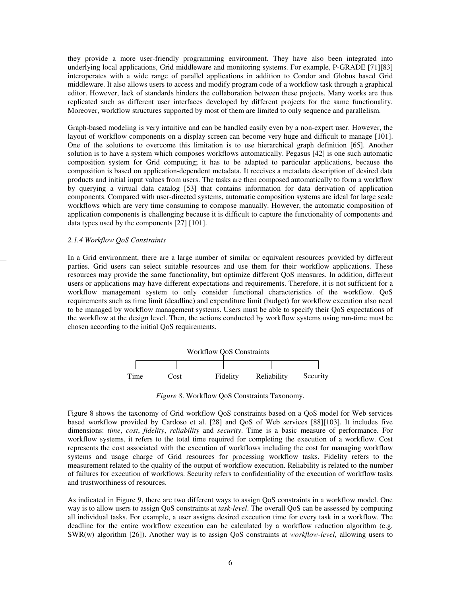they provide a more user-friendly programming environment. They have also been integrated into underlying local applications, Grid middleware and monitoring systems. For example, P-GRADE [71][83] interoperates with a wide range of parallel applications in addition to Condor and Globus based Grid middleware. It also allows users to access and modify program code of a workflow task through a graphical editor. However, lack of standards hinders the collaboration between these projects. Many works are thus replicated such as different user interfaces developed by different projects for the same functionality. Moreover, workflow structures supported by most of them are limited to only sequence and parallelism.

Graph-based modeling is very intuitive and can be handled easily even by a non-expert user. However, the layout of workflow components on a display screen can become very huge and difficult to manage [101]. One of the solutions to overcome this limitation is to use hierarchical graph definition [65]. Another solution is to have a system which composes workflows automatically. Pegasus [42] is one such automatic composition system for Grid computing; it has to be adapted to particular applications, because the composition is based on application-dependent metadata. It receives a metadata description of desired data products and initial input values from users. The tasks are then composed automatically to form a workflow by querying a virtual data catalog [53] that contains information for data derivation of application components. Compared with user-directed systems, automatic composition systems are ideal for large scale workflows which are very time consuming to compose manually. However, the automatic composition of application components is challenging because it is difficult to capture the functionality of components and data types used by the components [27] [101].

#### *2.1.4 Workflow QoS Constraints*

In a Grid environment, there are a large number of similar or equivalent resources provided by different parties. Grid users can select suitable resources and use them for their workflow applications. These resources may provide the same functionality, but optimize different QoS measures. In addition, different users or applications may have different expectations and requirements. Therefore, it is not sufficient for a workflow management system to only consider functional characteristics of the workflow. QoS requirements such as time limit (deadline) and expenditure limit (budget) for workflow execution also need to be managed by workflow management systems. Users must be able to specify their QoS expectations of the workflow at the design level. Then, the actions conducted by workflow systems using run-time must be chosen according to the initial QoS requirements.



*Figure 8*. Workflow QoS Constraints Taxonomy.

Figure 8 shows the taxonomy of Grid workflow QoS constraints based on a QoS model for Web services based workflow provided by Cardoso et al. [28] and QoS of Web services [88][103]. It includes five dimensions: *time*, *cost*, *fidelity*, *reliability* and *security*. Time is a basic measure of performance. For workflow systems, it refers to the total time required for completing the execution of a workflow. Cost represents the cost associated with the execution of workflows including the cost for managing workflow systems and usage charge of Grid resources for processing workflow tasks. Fidelity refers to the measurement related to the quality of the output of workflow execution. Reliability is related to the number of failures for execution of workflows. Security refers to confidentiality of the execution of workflow tasks and trustworthiness of resources.

As indicated in Figure 9, there are two different ways to assign QoS constraints in a workflow model. One way is to allow users to assign QoS constraints at *task-level*. The overall QoS can be assessed by computing all individual tasks. For example, a user assigns desired execution time for every task in a workflow. The deadline for the entire workflow execution can be calculated by a workflow reduction algorithm (e.g. SWR(w) algorithm [26]). Another way is to assign QoS constraints at *workflow-level*, allowing users to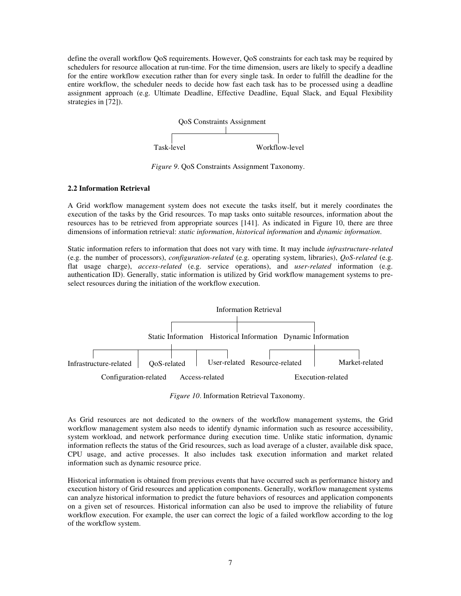define the overall workflow QoS requirements. However, QoS constraints for each task may be required by schedulers for resource allocation at run-time. For the time dimension, users are likely to specify a deadline for the entire workflow execution rather than for every single task. In order to fulfill the deadline for the entire workflow, the scheduler needs to decide how fast each task has to be processed using a deadline assignment approach (e.g. Ultimate Deadline, Effective Deadline, Equal Slack, and Equal Flexibility strategies in [72]).



*Figure 9*. QoS Constraints Assignment Taxonomy.

## **2.2 Information Retrieval**

A Grid workflow management system does not execute the tasks itself, but it merely coordinates the execution of the tasks by the Grid resources. To map tasks onto suitable resources, information about the resources has to be retrieved from appropriate sources [141]. As indicated in Figure 10, there are three dimensions of information retrieval: *static information*, *historical information* and *dynamic information*.

Static information refers to information that does not vary with time. It may include *infrastructure-related* (e.g. the number of processors), *configuration-related* (e.g. operating system, libraries), *QoS-related* (e.g. flat usage charge), *access-related* (e.g. service operations), and *user-related* information (e.g. authentication ID). Generally, static information is utilized by Grid workflow management systems to preselect resources during the initiation of the workflow execution.



*Figure 10*. Information Retrieval Taxonomy.

As Grid resources are not dedicated to the owners of the workflow management systems, the Grid workflow management system also needs to identify dynamic information such as resource accessibility, system workload, and network performance during execution time. Unlike static information, dynamic information reflects the status of the Grid resources, such as load average of a cluster, available disk space, CPU usage, and active processes. It also includes task execution information and market related information such as dynamic resource price.

Historical information is obtained from previous events that have occurred such as performance history and execution history of Grid resources and application components. Generally, workflow management systems can analyze historical information to predict the future behaviors of resources and application components on a given set of resources. Historical information can also be used to improve the reliability of future workflow execution. For example, the user can correct the logic of a failed workflow according to the log of the workflow system.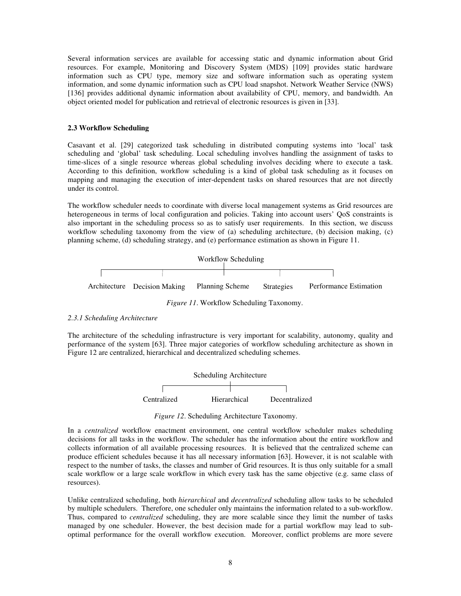Several information services are available for accessing static and dynamic information about Grid resources. For example, Monitoring and Discovery System (MDS) [109] provides static hardware information such as CPU type, memory size and software information such as operating system information, and some dynamic information such as CPU load snapshot. Network Weather Service (NWS) [136] provides additional dynamic information about availability of CPU, memory, and bandwidth. An object oriented model for publication and retrieval of electronic resources is given in [33].

#### **2.3 Workflow Scheduling**

Casavant et al. [29] categorized task scheduling in distributed computing systems into 'local' task scheduling and 'global' task scheduling. Local scheduling involves handling the assignment of tasks to time-slices of a single resource whereas global scheduling involves deciding where to execute a task. According to this definition, workflow scheduling is a kind of global task scheduling as it focuses on mapping and managing the execution of inter-dependent tasks on shared resources that are not directly under its control.

The workflow scheduler needs to coordinate with diverse local management systems as Grid resources are heterogeneous in terms of local configuration and policies. Taking into account users' QoS constraints is also important in the scheduling process so as to satisfy user requirements. In this section, we discuss workflow scheduling taxonomy from the view of (a) scheduling architecture, (b) decision making, (c) planning scheme, (d) scheduling strategy, and (e) performance estimation as shown in Figure 11.



*Figure 11*. Workflow Scheduling Taxonomy.

# *2.3.1 Scheduling Architecture*

The architecture of the scheduling infrastructure is very important for scalability, autonomy, quality and performance of the system [63]. Three major categories of workflow scheduling architecture as shown in Figure 12 are centralized, hierarchical and decentralized scheduling schemes.



*Figure 12*. Scheduling Architecture Taxonomy.

In a *centralized* workflow enactment environment, one central workflow scheduler makes scheduling decisions for all tasks in the workflow. The scheduler has the information about the entire workflow and collects information of all available processing resources. It is believed that the centralized scheme can produce efficient schedules because it has all necessary information [63]. However, it is not scalable with respect to the number of tasks, the classes and number of Grid resources. It is thus only suitable for a small scale workflow or a large scale workflow in which every task has the same objective (e.g. same class of resources).

Unlike centralized scheduling, both *hierarchical* and *decentralized* scheduling allow tasks to be scheduled by multiple schedulers. Therefore, one scheduler only maintains the information related to a sub-workflow. Thus, compared to *centralized* scheduling, they are more scalable since they limit the number of tasks managed by one scheduler. However, the best decision made for a partial workflow may lead to suboptimal performance for the overall workflow execution. Moreover, conflict problems are more severe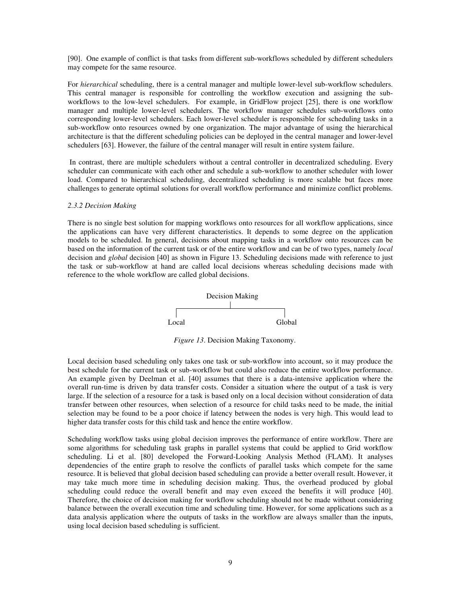[90]. One example of conflict is that tasks from different sub-workflows scheduled by different schedulers may compete for the same resource.

For *hierarchical* scheduling, there is a central manager and multiple lower-level sub-workflow schedulers. This central manager is responsible for controlling the workflow execution and assigning the subworkflows to the low-level schedulers. For example, in GridFlow project [25], there is one workflow manager and multiple lower-level schedulers. The workflow manager schedules sub-workflows onto corresponding lower-level schedulers. Each lower-level scheduler is responsible for scheduling tasks in a sub-workflow onto resources owned by one organization. The major advantage of using the hierarchical architecture is that the different scheduling policies can be deployed in the central manager and lower-level schedulers [63]. However, the failure of the central manager will result in entire system failure.

 In contrast, there are multiple schedulers without a central controller in decentralized scheduling. Every scheduler can communicate with each other and schedule a sub-workflow to another scheduler with lower load. Compared to hierarchical scheduling, decentralized scheduling is more scalable but faces more challenges to generate optimal solutions for overall workflow performance and minimize conflict problems.

#### *2.3.2 Decision Making*

There is no single best solution for mapping workflows onto resources for all workflow applications, since the applications can have very different characteristics. It depends to some degree on the application models to be scheduled. In general, decisions about mapping tasks in a workflow onto resources can be based on the information of the current task or of the entire workflow and can be of two types, namely *local* decision and *global* decision [40] as shown in Figure 13. Scheduling decisions made with reference to just the task or sub-workflow at hand are called local decisions whereas scheduling decisions made with reference to the whole workflow are called global decisions.



*Figure 13*. Decision Making Taxonomy.

Local decision based scheduling only takes one task or sub-workflow into account, so it may produce the best schedule for the current task or sub-workflow but could also reduce the entire workflow performance. An example given by Deelman et al. [40] assumes that there is a data-intensive application where the overall run-time is driven by data transfer costs. Consider a situation where the output of a task is very large. If the selection of a resource for a task is based only on a local decision without consideration of data transfer between other resources, when selection of a resource for child tasks need to be made, the initial selection may be found to be a poor choice if latency between the nodes is very high. This would lead to higher data transfer costs for this child task and hence the entire workflow.

Scheduling workflow tasks using global decision improves the performance of entire workflow. There are some algorithms for scheduling task graphs in parallel systems that could be applied to Grid workflow scheduling. Li et al. [80] developed the Forward-Looking Analysis Method (FLAM). It analyses dependencies of the entire graph to resolve the conflicts of parallel tasks which compete for the same resource. It is believed that global decision based scheduling can provide a better overall result. However, it may take much more time in scheduling decision making. Thus, the overhead produced by global scheduling could reduce the overall benefit and may even exceed the benefits it will produce [40]. Therefore, the choice of decision making for workflow scheduling should not be made without considering balance between the overall execution time and scheduling time. However, for some applications such as a data analysis application where the outputs of tasks in the workflow are always smaller than the inputs, using local decision based scheduling is sufficient.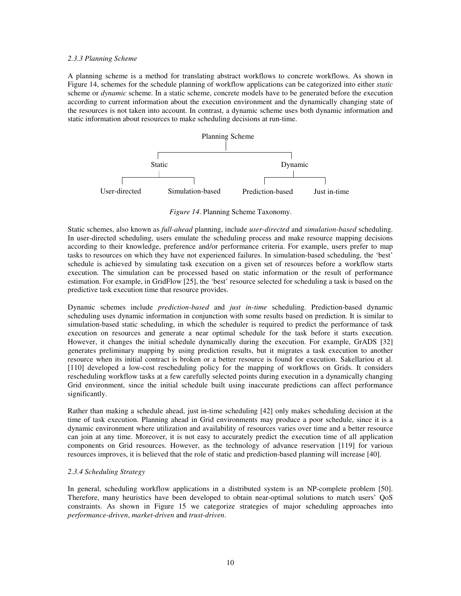#### *2.3.3 Planning Scheme*

A planning scheme is a method for translating abstract workflows to concrete workflows. As shown in Figure 14, schemes for the schedule planning of workflow applications can be categorized into either *static* scheme or *dynamic* scheme. In a static scheme, concrete models have to be generated before the execution according to current information about the execution environment and the dynamically changing state of the resources is not taken into account. In contrast, a dynamic scheme uses both dynamic information and static information about resources to make scheduling decisions at run-time.



*Figure 14*. Planning Scheme Taxonomy.

Static schemes, also known as *full-ahead* planning, include *user-directed* and *simulation-based* scheduling. In user-directed scheduling, users emulate the scheduling process and make resource mapping decisions according to their knowledge, preference and/or performance criteria. For example, users prefer to map tasks to resources on which they have not experienced failures. In simulation-based scheduling, the 'best' schedule is achieved by simulating task execution on a given set of resources before a workflow starts execution. The simulation can be processed based on static information or the result of performance estimation. For example, in GridFlow [25], the 'best' resource selected for scheduling a task is based on the predictive task execution time that resource provides.

Dynamic schemes include *prediction-based* and *just in-time* scheduling. Prediction-based dynamic scheduling uses dynamic information in conjunction with some results based on prediction. It is similar to simulation-based static scheduling, in which the scheduler is required to predict the performance of task execution on resources and generate a near optimal schedule for the task before it starts execution. However, it changes the initial schedule dynamically during the execution. For example, GrADS [32] generates preliminary mapping by using prediction results, but it migrates a task execution to another resource when its initial contract is broken or a better resource is found for execution. Sakellariou et al. [110] developed a low-cost rescheduling policy for the mapping of workflows on Grids. It considers rescheduling workflow tasks at a few carefully selected points during execution in a dynamically changing Grid environment, since the initial schedule built using inaccurate predictions can affect performance significantly.

Rather than making a schedule ahead, just in-time scheduling [42] only makes scheduling decision at the time of task execution. Planning ahead in Grid environments may produce a poor schedule, since it is a dynamic environment where utilization and availability of resources varies over time and a better resource can join at any time. Moreover, it is not easy to accurately predict the execution time of all application components on Grid resources. However, as the technology of advance reservation [119] for various resources improves, it is believed that the role of static and prediction-based planning will increase [40].

# *2.3.4 Scheduling Strategy*

In general, scheduling workflow applications in a distributed system is an NP-complete problem [50]. Therefore, many heuristics have been developed to obtain near-optimal solutions to match users' QoS constraints. As shown in Figure 15 we categorize strategies of major scheduling approaches into *performance-driven*, *market-driven* and *trust-driven*.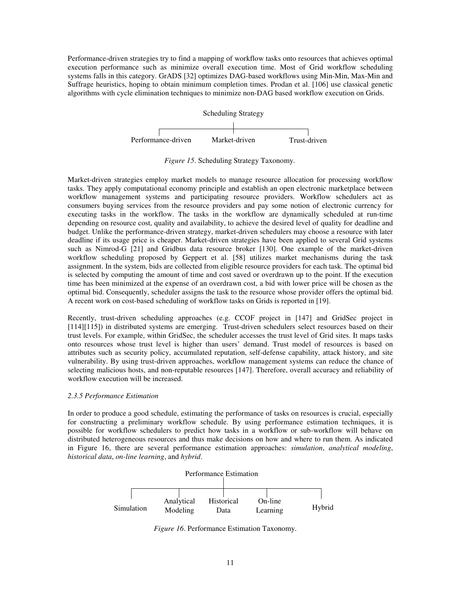Performance-driven strategies try to find a mapping of workflow tasks onto resources that achieves optimal execution performance such as minimize overall execution time. Most of Grid workflow scheduling systems falls in this category. GrADS [32] optimizes DAG-based workflows using Min-Min, Max-Min and Suffrage heuristics, hoping to obtain minimum completion times. Prodan et al. [106] use classical genetic algorithms with cycle elimination techniques to minimize non-DAG based workflow execution on Grids.



*Figure 15*. Scheduling Strategy Taxonomy.

Market-driven strategies employ market models to manage resource allocation for processing workflow tasks. They apply computational economy principle and establish an open electronic marketplace between workflow management systems and participating resource providers. Workflow schedulers act as consumers buying services from the resource providers and pay some notion of electronic currency for executing tasks in the workflow. The tasks in the workflow are dynamically scheduled at run-time depending on resource cost, quality and availability, to achieve the desired level of quality for deadline and budget. Unlike the performance-driven strategy, market-driven schedulers may choose a resource with later deadline if its usage price is cheaper. Market-driven strategies have been applied to several Grid systems such as Nimrod-G [21] and Gridbus data resource broker [130]. One example of the market-driven workflow scheduling proposed by Geppert et al. [58] utilizes market mechanisms during the task assignment. In the system, bids are collected from eligible resource providers for each task. The optimal bid is selected by computing the amount of time and cost saved or overdrawn up to the point. If the execution time has been minimized at the expense of an overdrawn cost, a bid with lower price will be chosen as the optimal bid. Consequently, scheduler assigns the task to the resource whose provider offers the optimal bid. A recent work on cost-based scheduling of workflow tasks on Grids is reported in [19].

Recently, trust-driven scheduling approaches (e.g. CCOF project in [147] and GridSec project in [114][115]) in distributed systems are emerging. Trust-driven schedulers select resources based on their trust levels. For example, within GridSec, the scheduler accesses the trust level of Grid sites. It maps tasks onto resources whose trust level is higher than users' demand. Trust model of resources is based on attributes such as security policy, accumulated reputation, self-defense capability, attack history, and site vulnerability. By using trust-driven approaches, workflow management systems can reduce the chance of selecting malicious hosts, and non-reputable resources [147]. Therefore, overall accuracy and reliability of workflow execution will be increased.

# *2.3.5 Performance Estimation*

In order to produce a good schedule, estimating the performance of tasks on resources is crucial, especially for constructing a preliminary workflow schedule. By using performance estimation techniques, it is possible for workflow schedulers to predict how tasks in a workflow or sub-workflow will behave on distributed heterogeneous resources and thus make decisions on how and where to run them. As indicated in Figure 16, there are several performance estimation approaches: *simulation*, *analytical modeling*, *historical data*, *on-line learning*, and *hybrid*.



*Figure 16*. Performance Estimation Taxonomy.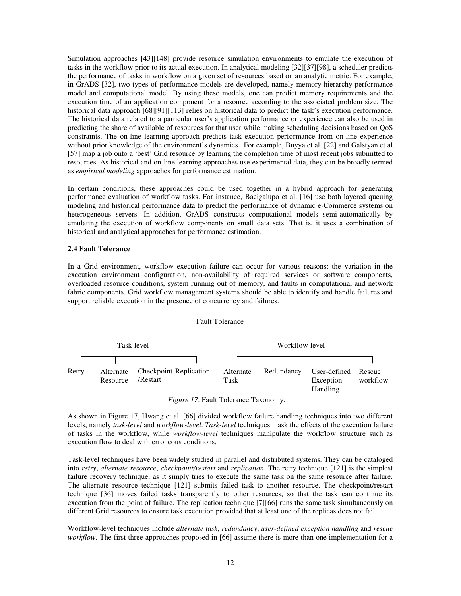Simulation approaches [43][148] provide resource simulation environments to emulate the execution of tasks in the workflow prior to its actual execution. In analytical modeling [32][37][98], a scheduler predicts the performance of tasks in workflow on a given set of resources based on an analytic metric. For example, in GrADS [32], two types of performance models are developed, namely memory hierarchy performance model and computational model. By using these models, one can predict memory requirements and the execution time of an application component for a resource according to the associated problem size. The historical data approach  $[68][91][113]$  relies on historical data to predict the task's execution performance. The historical data related to a particular user's application performance or experience can also be used in predicting the share of available of resources for that user while making scheduling decisions based on QoS constraints. The on-line learning approach predicts task execution performance from on-line experience without prior knowledge of the environment's dynamics. For example, Buyya et al. [22] and Galstyan et al. [57] map a job onto a 'best' Grid resource by learning the completion time of most recent jobs submitted to resources. As historical and on-line learning approaches use experimental data, they can be broadly termed as *empirical modeling* approaches for performance estimation.

In certain conditions, these approaches could be used together in a hybrid approach for generating performance evaluation of workflow tasks. For instance, Bacigalupo et al. [16] use both layered queuing modeling and historical performance data to predict the performance of dynamic e-Commerce systems on heterogeneous servers. In addition, GrADS constructs computational models semi-automatically by emulating the execution of workflow components on small data sets. That is, it uses a combination of historical and analytical approaches for performance estimation.

## **2.4 Fault Tolerance**

In a Grid environment, workflow execution failure can occur for various reasons: the variation in the execution environment configuration, non-availability of required services or software components, overloaded resource conditions, system running out of memory, and faults in computational and network fabric components. Grid workflow management systems should be able to identify and handle failures and support reliable execution in the presence of concurrency and failures.



*Figure 17*. Fault Tolerance Taxonomy.

As shown in Figure 17, Hwang et al. [66] divided workflow failure handling techniques into two different levels, namely *task-level* and *workflow-level*. *Task-level* techniques mask the effects of the execution failure of tasks in the workflow, while *workflow-level* techniques manipulate the workflow structure such as execution flow to deal with erroneous conditions.

Task-level techniques have been widely studied in parallel and distributed systems. They can be cataloged into *retry*, *alternate resource*, *checkpoint/restart* and *replication*. The retry technique [121] is the simplest failure recovery technique, as it simply tries to execute the same task on the same resource after failure. The alternate resource technique [121] submits failed task to another resource. The checkpoint/restart technique [36] moves failed tasks transparently to other resources, so that the task can continue its execution from the point of failure. The replication technique [7][66] runs the same task simultaneously on different Grid resources to ensure task execution provided that at least one of the replicas does not fail.

Workflow-level techniques include *alternate task*, *redundancy*, *user-defined exception handling* and *rescue workflow*. The first three approaches proposed in [66] assume there is more than one implementation for a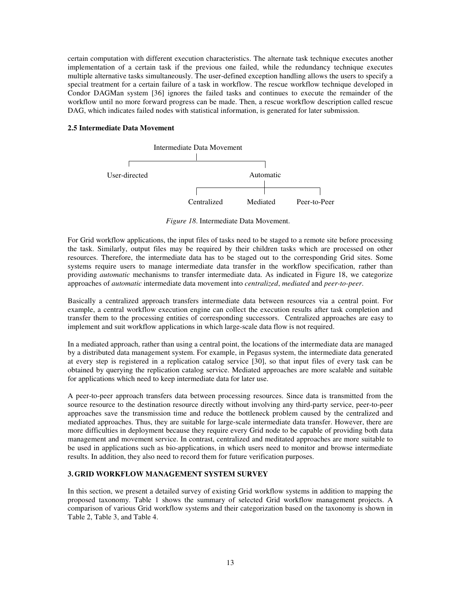certain computation with different execution characteristics. The alternate task technique executes another implementation of a certain task if the previous one failed, while the redundancy technique executes multiple alternative tasks simultaneously. The user-defined exception handling allows the users to specify a special treatment for a certain failure of a task in workflow. The rescue workflow technique developed in Condor DAGMan system [36] ignores the failed tasks and continues to execute the remainder of the workflow until no more forward progress can be made. Then, a rescue workflow description called rescue DAG, which indicates failed nodes with statistical information, is generated for later submission.

#### **2.5 Intermediate Data Movement**



*Figure 18*. Intermediate Data Movement.

For Grid workflow applications, the input files of tasks need to be staged to a remote site before processing the task. Similarly, output files may be required by their children tasks which are processed on other resources. Therefore, the intermediate data has to be staged out to the corresponding Grid sites. Some systems require users to manage intermediate data transfer in the workflow specification, rather than providing *automatic* mechanisms to transfer intermediate data. As indicated in Figure 18, we categorize approaches of *automatic* intermediate data movement into *centralized*, *mediated* and *peer-to-peer*.

Basically a centralized approach transfers intermediate data between resources via a central point. For example, a central workflow execution engine can collect the execution results after task completion and transfer them to the processing entities of corresponding successors. Centralized approaches are easy to implement and suit workflow applications in which large-scale data flow is not required.

In a mediated approach, rather than using a central point, the locations of the intermediate data are managed by a distributed data management system. For example, in Pegasus system, the intermediate data generated at every step is registered in a replication catalog service [30], so that input files of every task can be obtained by querying the replication catalog service. Mediated approaches are more scalable and suitable for applications which need to keep intermediate data for later use.

A peer-to-peer approach transfers data between processing resources. Since data is transmitted from the source resource to the destination resource directly without involving any third-party service, peer-to-peer approaches save the transmission time and reduce the bottleneck problem caused by the centralized and mediated approaches. Thus, they are suitable for large-scale intermediate data transfer. However, there are more difficulties in deployment because they require every Grid node to be capable of providing both data management and movement service. In contrast, centralized and meditated approaches are more suitable to be used in applications such as bio-applications, in which users need to monitor and browse intermediate results. In addition, they also need to record them for future verification purposes.

# **3.GRID WORKFLOW MANAGEMENT SYSTEM SURVEY**

In this section, we present a detailed survey of existing Grid workflow systems in addition to mapping the proposed taxonomy. Table 1 shows the summary of selected Grid workflow management projects. A comparison of various Grid workflow systems and their categorization based on the taxonomy is shown in Table 2, Table 3, and Table 4.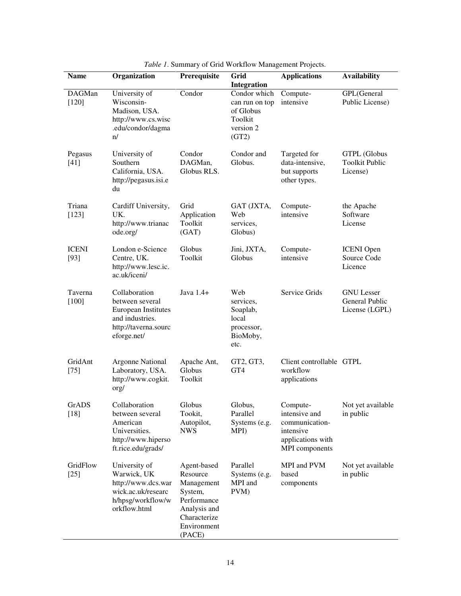| <b>Name</b>            | Organization                                                                                                             | Prerequisite                                                                                                             | Grid<br><b>Integration</b>                                                   | <b>Applications</b>                                                                             | <b>Availability</b>                                      |
|------------------------|--------------------------------------------------------------------------------------------------------------------------|--------------------------------------------------------------------------------------------------------------------------|------------------------------------------------------------------------------|-------------------------------------------------------------------------------------------------|----------------------------------------------------------|
| DAGMan<br>$[120]$      | University of<br>Wisconsin-<br>Madison, USA.<br>http://www.cs.wisc<br>.edu/condor/dagma<br>n/                            | Condor                                                                                                                   | Condor which<br>can run on top<br>of Globus<br>Toolkit<br>version 2<br>(GT2) | Compute-<br>intensive                                                                           | GPL(General<br>Public License)                           |
| Pegasus<br>$[41]$      | University of<br>Southern<br>California, USA.<br>http://pegasus.isi.e<br>du                                              | Condor<br>DAGMan,<br>Globus RLS.                                                                                         | Condor and<br>Globus.                                                        | Targeted for<br>data-intensive,<br>but supports<br>other types.                                 | <b>GTPL</b> (Globus<br><b>Toolkit Public</b><br>License) |
| Triana<br>[123]        | Cardiff University,<br>UK.<br>http://www.trianac<br>ode.org/                                                             | Grid<br>Application<br>Toolkit<br>(GAT)                                                                                  | GAT (JXTA,<br>Web<br>services,<br>Globus)                                    | Compute-<br>intensive                                                                           | the Apache<br>Software<br>License                        |
| <b>ICENI</b><br>$[93]$ | London e-Science<br>Centre, UK.<br>http://www.lesc.ic.<br>ac.uk/iceni/                                                   | Globus<br>Toolkit                                                                                                        | Jini, JXTA,<br>Globus                                                        | Compute-<br>intensive                                                                           | <b>ICENI</b> Open<br>Source Code<br>Licence              |
| Taverna<br>$[100]$     | Collaboration<br>between several<br><b>European Institutes</b><br>and industries.<br>http://taverna.sourc<br>eforge.net/ | Java $1.4+$                                                                                                              | Web<br>services,<br>Soaplab,<br>local<br>processor,<br>BioMoby,<br>etc.      | Service Grids                                                                                   | <b>GNU</b> Lesser<br>General Public<br>License (LGPL)    |
| GridAnt<br>$[75]$      | <b>Argonne National</b><br>Laboratory, USA.<br>http://www.cogkit.<br>org/                                                | Apache Ant,<br>Globus<br>Toolkit                                                                                         | GT2, GT3,<br>GT <sub>4</sub>                                                 | Client controllable GTPL<br>workflow<br>applications                                            |                                                          |
| GrADS<br>$[18]$        | Collaboration<br>between several<br>American<br>Universities.<br>http://www.hiperso<br>ft.rice.edu/grads/                | Globus<br>Tookit,<br>Autopilot,<br><b>NWS</b>                                                                            | Globus,<br>Parallel<br>Systems (e.g.<br>MPI)                                 | Compute-<br>intensive and<br>communication-<br>intensive<br>applications with<br>MPI components | Not yet available<br>in public                           |
| GridFlow<br>$[25]$     | University of<br>Warwick, UK<br>http://www.dcs.war<br>wick.ac.uk/researc<br>h/hpsg/workflow/w<br>orkflow.html            | Agent-based<br>Resource<br>Management<br>System,<br>Performance<br>Analysis and<br>Characterize<br>Environment<br>(PACE) | Parallel<br>Systems (e.g.<br>MPI and<br>PVM)                                 | MPI and PVM<br>based<br>components                                                              | Not yet available<br>in public                           |

|  | Table 1. Summary of Grid Workflow Management Projects. |  |
|--|--------------------------------------------------------|--|
|  |                                                        |  |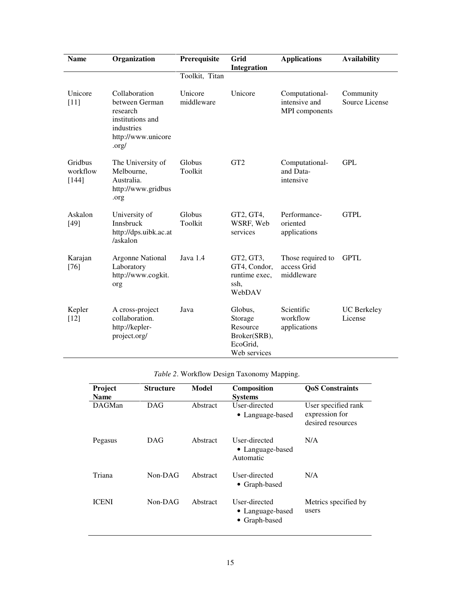| <b>Name</b>                  | Organization                                                                                                 | Prerequisite          | Grid<br><b>Integration</b>                                                 | <b>Applications</b>                               | <b>Availability</b>           |
|------------------------------|--------------------------------------------------------------------------------------------------------------|-----------------------|----------------------------------------------------------------------------|---------------------------------------------------|-------------------------------|
|                              |                                                                                                              | Toolkit, Titan        |                                                                            |                                                   |                               |
| Unicore<br>$[11]$            | Collaboration<br>between German<br>research<br>institutions and<br>industries<br>http://www.unicore<br>.org/ | Unicore<br>middleware | Unicore                                                                    | Computational-<br>intensive and<br>MPI components | Community<br>Source License   |
| Gridbus<br>workflow<br>[144] | The University of<br>Melbourne,<br>Australia.<br>http://www.gridbus<br>.org                                  | Globus<br>Toolkit     | GT2                                                                        | Computational-<br>and Data-<br>intensive          | <b>GPL</b>                    |
| Askalon<br>$[49]$            | University of<br>Innsbruck<br>http://dps.uibk.ac.at<br>/askalon                                              | Globus<br>Toolkit     | GT2, GT4,<br>WSRF, Web<br>services                                         | Performance-<br>oriented<br>applications          | <b>GTPL</b>                   |
| Karajan<br>$[76]$            | <b>Argonne National</b><br>Laboratory<br>http://www.cogkit.<br>org                                           | Java 1.4              | GT2, GT3,<br>GT4, Condor,<br>runtime exec,<br>ssh,<br>WebDAV               | Those required to<br>access Grid<br>middleware    | <b>GPTL</b>                   |
| Kepler<br>$[12]$             | A cross-project<br>collaboration.<br>http://kepler-<br>project.org/                                          | Java                  | Globus,<br>Storage<br>Resource<br>Broker(SRB),<br>EcoGrid,<br>Web services | Scientific<br>workflow<br>applications            | <b>UC</b> Berkeley<br>License |

# *Table 2*. Workflow Design Taxonomy Mapping.

| <b>Project</b><br><b>Name</b> | <b>Structure</b> | Model    | Composition<br><b>Systems</b>                      | <b>QoS</b> Constraints                                     |
|-------------------------------|------------------|----------|----------------------------------------------------|------------------------------------------------------------|
| <b>DAGMan</b>                 | <b>DAG</b>       | Abstract | User-directed<br>• Language-based                  | User specified rank<br>expression for<br>desired resources |
| Pegasus                       | DAG              | Abstract | User-directed<br>• Language-based<br>Automatic     | N/A                                                        |
| Triana                        | $Non-DAG$        | Abstract | User-directed<br>• Graph-based                     | N/A                                                        |
| <b>ICENI</b>                  | $Non-DAG$        | Abstract | User-directed<br>• Language-based<br>• Graph-based | Metrics specified by<br>users                              |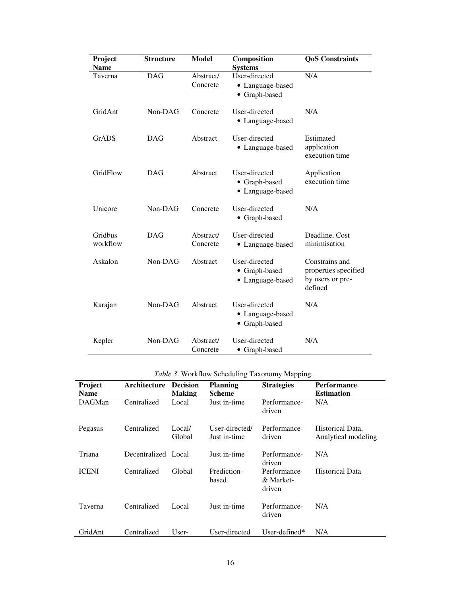| Project<br><b>Name</b> | <b>Structure</b> | <b>Model</b>          | Composition<br><b>Systems</b>                      | <b>QoS Constraints</b>                                                |
|------------------------|------------------|-----------------------|----------------------------------------------------|-----------------------------------------------------------------------|
| Taverna                | <b>DAG</b>       | Abstract/<br>Concrete | User-directed<br>• Language-based<br>• Graph-based | N/A                                                                   |
| GridAnt                | $Non-DAG$        | Concrete              | User-directed<br>• Language-based                  | N/A                                                                   |
| <b>GrADS</b>           | <b>DAG</b>       | Abstract              | User-directed<br>• Language-based                  | Estimated<br>application<br>execution time                            |
| GridFlow               | <b>DAG</b>       | Abstract              | User-directed<br>• Graph-based<br>• Language-based | Application<br>execution time                                         |
| Unicore                | $Non-DAG$        | Concrete              | User-directed<br>• Graph-based                     | N/A                                                                   |
| Gridbus<br>workflow    | <b>DAG</b>       | Abstract/<br>Concrete | User-directed<br>• Language-based                  | Deadline, Cost<br>minimisation                                        |
| Askalon                | $Non-DAG$        | Abstract              | User-directed<br>• Graph-based<br>• Language-based | Constrains and<br>properties specified<br>by users or pre-<br>defined |
| Karajan                | Non-DAG          | Abstract              | User-directed<br>• Language-based<br>• Graph-based | N/A                                                                   |
| Kepler                 | $Non-DAG$        | Abstract/<br>Concrete | User-directed<br>• Graph-based                     | N/A                                                                   |

*Table 3*. Workflow Scheduling Taxonomy Mapping.

| <b>Project</b><br><b>Name</b> | Architecture        | <b>Decision</b><br><b>Making</b> | <b>Planning</b><br><b>Scheme</b> | <b>Strategies</b>                  | <b>Performance</b><br><b>Estimation</b> |
|-------------------------------|---------------------|----------------------------------|----------------------------------|------------------------------------|-----------------------------------------|
| DAGMan                        | Centralized         | Local                            | Just in-time                     | Performance-<br>driven             | N/A                                     |
| Pegasus                       | Centralized         | Local/<br>Global                 | User-directed/<br>Just in-time   | Performance-<br>driven             | Historical Data.<br>Analytical modeling |
| Triana                        | Decentralized Local |                                  | Just in-time                     | Performance-<br>driven             | N/A                                     |
| <b>ICENI</b>                  | Centralized         | Global                           | Prediction-<br>based             | Performance<br>& Market-<br>driven | <b>Historical Data</b>                  |
| Taverna                       | Centralized         | Local                            | Just in-time                     | Performance-<br>driven             | N/A                                     |
| GridAnt                       | Centralized         | User-                            | User-directed                    | User-defined $*$                   | N/A                                     |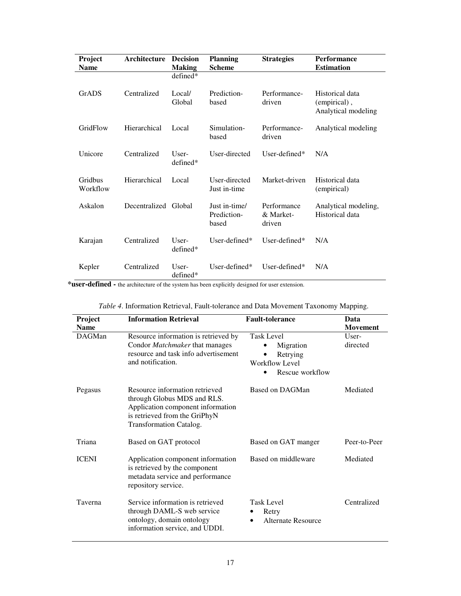| Project<br><b>Name</b> | Architecture         | <b>Decision</b><br><b>Making</b><br>defined* | <b>Planning</b><br><b>Scheme</b>      | <b>Strategies</b>                  | <b>Performance</b><br><b>Estimation</b>                |
|------------------------|----------------------|----------------------------------------------|---------------------------------------|------------------------------------|--------------------------------------------------------|
| <b>GrADS</b>           | Centralized          | Local/<br>Global                             | Prediction-<br>based                  | Performance-<br>driven             | Historical data<br>(empirical),<br>Analytical modeling |
| GridFlow               | Hierarchical         | Local                                        | Simulation-<br>based                  | Performance-<br>driven             | Analytical modeling                                    |
| Unicore                | Centralized          | User-<br>defined*                            | User-directed                         | User-defined $*$                   | N/A                                                    |
| Gridbus<br>Workflow    | Hierarchical         | Local                                        | User-directed<br>Just in-time         | Market-driven                      | Historical data<br>(empirical)                         |
| Askalon                | Decentralized Global |                                              | Just in-time/<br>Prediction-<br>based | Performance<br>& Market-<br>driven | Analytical modeling,<br>Historical data                |
| Karajan                | Centralized          | User-<br>$defined*$                          | User-defined $*$                      | User-defined $*$                   | N/A                                                    |
| Kepler                 | Centralized          | User-<br>defined*                            | User-defined $*$                      | User-defined $*$                   | N/A                                                    |

**\*user-defined -** the architecture of the system has been explicitly designed for user extension.

|       | Table 4. Information Retrieval, Fault-tolerance and Data Movement Taxonomy Mapping. |                        |      |  |
|-------|-------------------------------------------------------------------------------------|------------------------|------|--|
| oject | <b>Information Retrieval</b>                                                        | <b>Fault-tolerance</b> | Data |  |

| Project<br><b>Name</b> | <b>Information Retrieval</b>                                                                                                                                   | <b>Fault-tolerance</b>                                                          | Data<br><b>Movement</b> |
|------------------------|----------------------------------------------------------------------------------------------------------------------------------------------------------------|---------------------------------------------------------------------------------|-------------------------|
| <b>DAGMan</b>          | Resource information is retrieved by<br>Condor Matchmaker that manages<br>resource and task info advertisement<br>and notification.                            | <b>Task Level</b><br>Migration<br>Retrying<br>Workflow Level<br>Rescue workflow | User-<br>directed       |
| Pegasus                | Resource information retrieved<br>through Globus MDS and RLS.<br>Application component information<br>is retrieved from the GriPhyN<br>Transformation Catalog. | Based on DAGMan                                                                 | Mediated                |
| Triana                 | Based on GAT protocol                                                                                                                                          | Based on GAT manger                                                             | Peer-to-Peer            |
| <b>ICENI</b>           | Application component information<br>is retrieved by the component<br>metadata service and performance<br>repository service.                                  | Based on middleware                                                             | Mediated                |
| Taverna                | Service information is retrieved<br>through DAML-S web service<br>ontology, domain ontology<br>information service, and UDDI.                                  | <b>Task Level</b><br>Retry<br>Alternate Resource                                | Centralized             |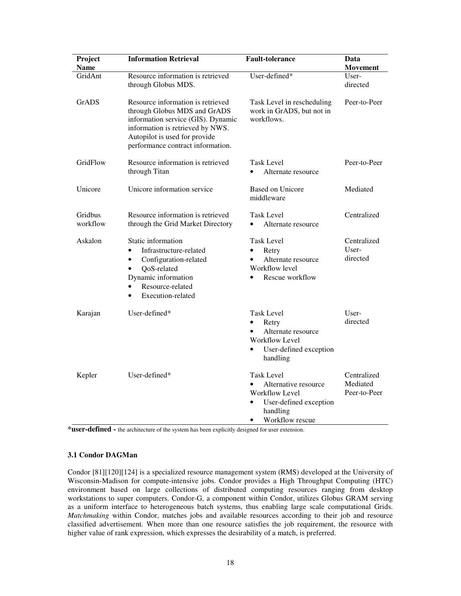| Project<br><b>Name</b> | <b>Information Retrieval</b>                                                                                                                                                                                      | <b>Fault-tolerance</b>                                                                                                            | Data<br>Movement                        |
|------------------------|-------------------------------------------------------------------------------------------------------------------------------------------------------------------------------------------------------------------|-----------------------------------------------------------------------------------------------------------------------------------|-----------------------------------------|
| GridAnt                | Resource information is retrieved<br>through Globus MDS.                                                                                                                                                          | User-defined*                                                                                                                     | User-<br>directed                       |
| GrADS                  | Resource information is retrieved<br>through Globus MDS and GrADS<br>information service (GIS). Dynamic<br>information is retrieved by NWS.<br>Autopilot is used for provide<br>performance contract information. | Task Level in rescheduling<br>work in GrADS, but not in<br>workflows.                                                             | Peer-to-Peer                            |
| GridFlow               | Resource information is retrieved<br>through Titan                                                                                                                                                                | <b>Task Level</b><br>Alternate resource                                                                                           | Peer-to-Peer                            |
| Unicore                | Unicore information service                                                                                                                                                                                       | <b>Based on Unicore</b><br>middleware                                                                                             | Mediated                                |
| Gridbus<br>workflow    | Resource information is retrieved<br>through the Grid Market Directory                                                                                                                                            | <b>Task Level</b><br>Alternate resource<br>$\bullet$                                                                              | Centralized                             |
| Askalon                | Static information<br>$\bullet$<br>Infrastructure-related<br>$\bullet$<br>Configuration-related<br>QoS-related<br>Dynamic information<br>Resource-related<br>Execution-related                                    | <b>Task Level</b><br>Retry<br>$\bullet$<br>Alternate resource<br>Workflow level<br>Rescue workflow                                | Centralized<br>User-<br>directed        |
| Karajan                | User-defined*                                                                                                                                                                                                     | <b>Task Level</b><br>Retry<br>Alternate resource<br>Workflow Level<br>User-defined exception<br>$\bullet$<br>handling             | User-<br>directed                       |
| Kepler                 | User-defined $*$                                                                                                                                                                                                  | <b>Task Level</b><br>Alternative resource<br>Workflow Level<br>User-defined exception<br>handling<br>Workflow rescue<br>$\bullet$ | Centralized<br>Mediated<br>Peer-to-Peer |

**\*user-defined -** the architecture of the system has been explicitly designed for user extension.

## **3.1 Condor DAGMan**

Condor [81][120][124] is a specialized resource management system (RMS) developed at the University of Wisconsin-Madison for compute-intensive jobs. Condor provides a High Throughput Computing (HTC) environment based on large collections of distributed computing resources ranging from desktop workstations to super computers. Condor-G, a component within Condor, utilizes Globus GRAM serving as a uniform interface to heterogeneous batch systems, thus enabling large scale computational Grids. *Matchmaking* within Condor, matches jobs and available resources according to their job and resource classified advertisement. When more than one resource satisfies the job requirement, the resource with higher value of rank expression, which expresses the desirability of a match, is preferred.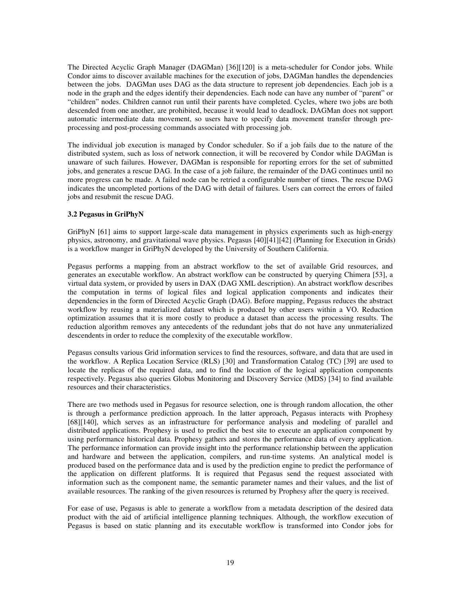The Directed Acyclic Graph Manager (DAGMan) [36][120] is a meta-scheduler for Condor jobs. While Condor aims to discover available machines for the execution of jobs, DAGMan handles the dependencies between the jobs. DAGMan uses DAG as the data structure to represent job dependencies. Each job is a node in the graph and the edges identify their dependencies. Each node can have any number of "parent" or "children" nodes. Children cannot run until their parents have completed. Cycles, where two jobs are both descended from one another, are prohibited, because it would lead to deadlock. DAGMan does not support automatic intermediate data movement, so users have to specify data movement transfer through preprocessing and post-processing commands associated with processing job.

The individual job execution is managed by Condor scheduler. So if a job fails due to the nature of the distributed system, such as loss of network connection, it will be recovered by Condor while DAGMan is unaware of such failures. However, DAGMan is responsible for reporting errors for the set of submitted jobs, and generates a rescue DAG. In the case of a job failure, the remainder of the DAG continues until no more progress can be made. A failed node can be retried a configurable number of times. The rescue DAG indicates the uncompleted portions of the DAG with detail of failures. Users can correct the errors of failed jobs and resubmit the rescue DAG.

## **3.2 Pegasus in GriPhyN**

GriPhyN [61] aims to support large-scale data management in physics experiments such as high-energy physics, astronomy, and gravitational wave physics. Pegasus [40][41][42] (Planning for Execution in Grids) is a workflow manger in GriPhyN developed by the University of Southern California.

Pegasus performs a mapping from an abstract workflow to the set of available Grid resources, and generates an executable workflow. An abstract workflow can be constructed by querying Chimera [53], a virtual data system, or provided by users in DAX (DAG XML description). An abstract workflow describes the computation in terms of logical files and logical application components and indicates their dependencies in the form of Directed Acyclic Graph (DAG). Before mapping, Pegasus reduces the abstract workflow by reusing a materialized dataset which is produced by other users within a VO. Reduction optimization assumes that it is more costly to produce a dataset than access the processing results. The reduction algorithm removes any antecedents of the redundant jobs that do not have any unmaterialized descendents in order to reduce the complexity of the executable workflow.

Pegasus consults various Grid information services to find the resources, software, and data that are used in the workflow. A Replica Location Service (RLS) [30] and Transformation Catalog (TC) [39] are used to locate the replicas of the required data, and to find the location of the logical application components respectively. Pegasus also queries Globus Monitoring and Discovery Service (MDS) [34] to find available resources and their characteristics.

There are two methods used in Pegasus for resource selection, one is through random allocation, the other is through a performance prediction approach. In the latter approach, Pegasus interacts with Prophesy [68][140], which serves as an infrastructure for performance analysis and modeling of parallel and distributed applications. Prophesy is used to predict the best site to execute an application component by using performance historical data. Prophesy gathers and stores the performance data of every application. The performance information can provide insight into the performance relationship between the application and hardware and between the application, compilers, and run-time systems. An analytical model is produced based on the performance data and is used by the prediction engine to predict the performance of the application on different platforms. It is required that Pegasus send the request associated with information such as the component name, the semantic parameter names and their values, and the list of available resources. The ranking of the given resources is returned by Prophesy after the query is received.

For ease of use, Pegasus is able to generate a workflow from a metadata description of the desired data product with the aid of artificial intelligence planning techniques. Although, the workflow execution of Pegasus is based on static planning and its executable workflow is transformed into Condor jobs for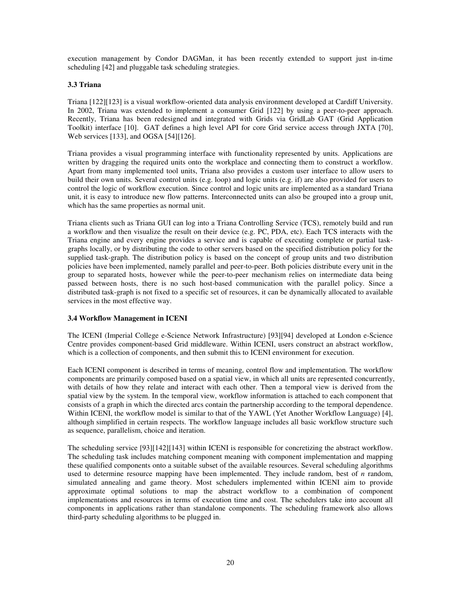execution management by Condor DAGMan, it has been recently extended to support just in-time scheduling [42] and pluggable task scheduling strategies.

## **3.3 Triana**

Triana [122][123] is a visual workflow-oriented data analysis environment developed at Cardiff University. In 2002, Triana was extended to implement a consumer Grid [122] by using a peer-to-peer approach. Recently, Triana has been redesigned and integrated with Grids via GridLab GAT (Grid Application Toolkit) interface [10]. GAT defines a high level API for core Grid service access through JXTA [70], Web services [133], and OGSA [54][126].

Triana provides a visual programming interface with functionality represented by units. Applications are written by dragging the required units onto the workplace and connecting them to construct a workflow. Apart from many implemented tool units, Triana also provides a custom user interface to allow users to build their own units. Several control units (e.g. loop) and logic units (e.g. if) are also provided for users to control the logic of workflow execution. Since control and logic units are implemented as a standard Triana unit, it is easy to introduce new flow patterns. Interconnected units can also be grouped into a group unit, which has the same properties as normal unit.

Triana clients such as Triana GUI can log into a Triana Controlling Service (TCS), remotely build and run a workflow and then visualize the result on their device (e.g. PC, PDA, etc). Each TCS interacts with the Triana engine and every engine provides a service and is capable of executing complete or partial taskgraphs locally, or by distributing the code to other servers based on the specified distribution policy for the supplied task-graph. The distribution policy is based on the concept of group units and two distribution policies have been implemented, namely parallel and peer-to-peer. Both policies distribute every unit in the group to separated hosts, however while the peer-to-peer mechanism relies on intermediate data being passed between hosts, there is no such host-based communication with the parallel policy. Since a distributed task-graph is not fixed to a specific set of resources, it can be dynamically allocated to available services in the most effective way.

# **3.4 Workflow Management in ICENI**

The ICENI (Imperial College e-Science Network Infrastructure) [93][94] developed at London e-Science Centre provides component-based Grid middleware. Within ICENI, users construct an abstract workflow, which is a collection of components, and then submit this to ICENI environment for execution.

Each ICENI component is described in terms of meaning, control flow and implementation. The workflow components are primarily composed based on a spatial view, in which all units are represented concurrently, with details of how they relate and interact with each other. Then a temporal view is derived from the spatial view by the system. In the temporal view, workflow information is attached to each component that consists of a graph in which the directed arcs contain the partnership according to the temporal dependence. Within ICENI, the workflow model is similar to that of the YAWL (Yet Another Workflow Language) [4], although simplified in certain respects. The workflow language includes all basic workflow structure such as sequence, parallelism, choice and iteration.

The scheduling service [93][142][143] within ICENI is responsible for concretizing the abstract workflow. The scheduling task includes matching component meaning with component implementation and mapping these qualified components onto a suitable subset of the available resources. Several scheduling algorithms used to determine resource mapping have been implemented. They include random, best of *n* random, simulated annealing and game theory. Most schedulers implemented within ICENI aim to provide approximate optimal solutions to map the abstract workflow to a combination of component implementations and resources in terms of execution time and cost. The schedulers take into account all components in applications rather than standalone components. The scheduling framework also allows third-party scheduling algorithms to be plugged in.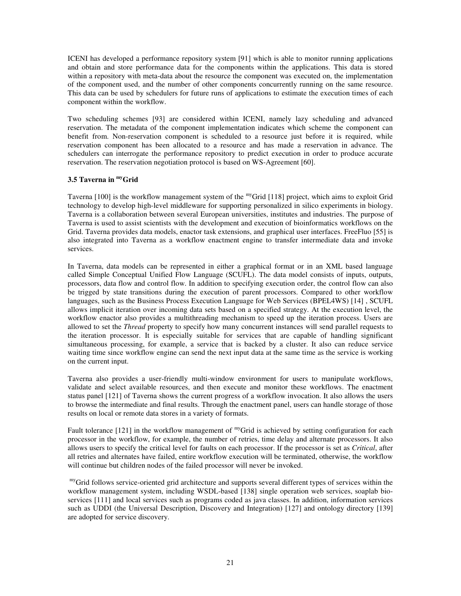ICENI has developed a performance repository system [91] which is able to monitor running applications and obtain and store performance data for the components within the applications. This data is stored within a repository with meta-data about the resource the component was executed on, the implementation of the component used, and the number of other components concurrently running on the same resource. This data can be used by schedulers for future runs of applications to estimate the execution times of each component within the workflow.

Two scheduling schemes [93] are considered within ICENI, namely lazy scheduling and advanced reservation. The metadata of the component implementation indicates which scheme the component can benefit from. Non-reservation component is scheduled to a resource just before it is required, while reservation component has been allocated to a resource and has made a reservation in advance. The schedulers can interrogate the performance repository to predict execution in order to produce accurate reservation. The reservation negotiation protocol is based on WS-Agreement [60].

## **3.5 Taverna in myGrid**

Taverna [100] is the workflow management system of the  $^{my}$ Grid [118] project, which aims to exploit Grid technology to develop high-level middleware for supporting personalized in silico experiments in biology. Taverna is a collaboration between several European universities, institutes and industries. The purpose of Taverna is used to assist scientists with the development and execution of bioinformatics workflows on the Grid. Taverna provides data models, enactor task extensions, and graphical user interfaces. FreeFluo [55] is also integrated into Taverna as a workflow enactment engine to transfer intermediate data and invoke services.

In Taverna, data models can be represented in either a graphical format or in an XML based language called Simple Conceptual Unified Flow Language (SCUFL). The data model consists of inputs, outputs, processors, data flow and control flow. In addition to specifying execution order, the control flow can also be trigged by state transitions during the execution of parent processors. Compared to other workflow languages, such as the Business Process Execution Language for Web Services (BPEL4WS) [14] , SCUFL allows implicit iteration over incoming data sets based on a specified strategy. At the execution level, the workflow enactor also provides a multithreading mechanism to speed up the iteration process. Users are allowed to set the *Thread* property to specify how many concurrent instances will send parallel requests to the iteration processor. It is especially suitable for services that are capable of handling significant simultaneous processing, for example, a service that is backed by a cluster. It also can reduce service waiting time since workflow engine can send the next input data at the same time as the service is working on the current input.

Taverna also provides a user-friendly multi-window environment for users to manipulate workflows, validate and select available resources, and then execute and monitor these workflows. The enactment status panel [121] of Taverna shows the current progress of a workflow invocation. It also allows the users to browse the intermediate and final results. Through the enactment panel, users can handle storage of those results on local or remote data stores in a variety of formats.

Fault tolerance  $[121]$  in the workflow management of  $\mathrm{^{my}Grid}$  is achieved by setting configuration for each processor in the workflow, for example, the number of retries, time delay and alternate processors. It also allows users to specify the critical level for faults on each processor. If the processor is set as *Critical*, after all retries and alternates have failed, entire workflow execution will be terminated, otherwise, the workflow will continue but children nodes of the failed processor will never be invoked.

myGrid follows service-oriented grid architecture and supports several different types of services within the workflow management system, including WSDL-based [138] single operation web services, soaplab bioservices [111] and local services such as programs coded as java classes. In addition, information services such as UDDI (the Universal Description, Discovery and Integration) [127] and ontology directory [139] are adopted for service discovery.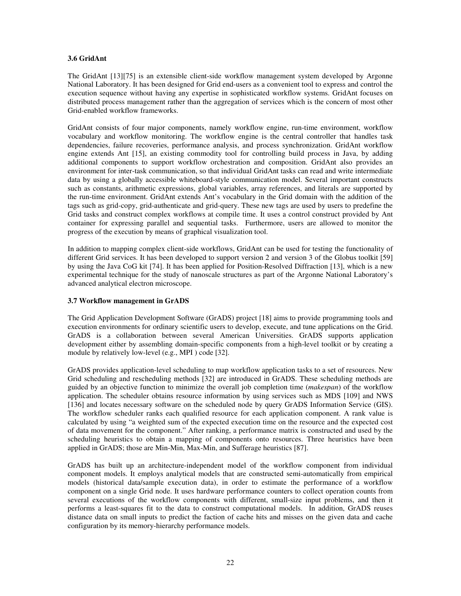#### **3.6 GridAnt**

The GridAnt [13][75] is an extensible client-side workflow management system developed by Argonne National Laboratory. It has been designed for Grid end-users as a convenient tool to express and control the execution sequence without having any expertise in sophisticated workflow systems. GridAnt focuses on distributed process management rather than the aggregation of services which is the concern of most other Grid-enabled workflow frameworks.

GridAnt consists of four major components, namely workflow engine, run-time environment, workflow vocabulary and workflow monitoring. The workflow engine is the central controller that handles task dependencies, failure recoveries, performance analysis, and process synchronization. GridAnt workflow engine extends Ant [15], an existing commodity tool for controlling build process in Java, by adding additional components to support workflow orchestration and composition. GridAnt also provides an environment for inter-task communication, so that individual GridAnt tasks can read and write intermediate data by using a globally accessible whiteboard-style communication model. Several important constructs such as constants, arithmetic expressions, global variables, array references, and literals are supported by the run-time environment. GridAnt extends Ant's vocabulary in the Grid domain with the addition of the tags such as grid-copy, grid-authenticate and grid-query. These new tags are used by users to predefine the Grid tasks and construct complex workflows at compile time. It uses a control construct provided by Ant container for expressing parallel and sequential tasks. Furthermore, users are allowed to monitor the progress of the execution by means of graphical visualization tool.

In addition to mapping complex client-side workflows, GridAnt can be used for testing the functionality of different Grid services. It has been developed to support version 2 and version 3 of the Globus toolkit [59] by using the Java CoG kit [74]. It has been applied for Position-Resolved Diffraction [13], which is a new experimental technique for the study of nanoscale structures as part of the Argonne National Laboratory's advanced analytical electron microscope.

## **3.7 Workflow management in GrADS**

The Grid Application Development Software (GrADS) project [18] aims to provide programming tools and execution environments for ordinary scientific users to develop, execute, and tune applications on the Grid. GrADS is a collaboration between several American Universities. GrADS supports application development either by assembling domain-specific components from a high-level toolkit or by creating a module by relatively low-level (e.g., MPI ) code [32].

GrADS provides application-level scheduling to map workflow application tasks to a set of resources. New Grid scheduling and rescheduling methods [32] are introduced in GrADS. These scheduling methods are guided by an objective function to minimize the overall job completion time (*makespan*) of the workflow application. The scheduler obtains resource information by using services such as MDS [109] and NWS [136] and locates necessary software on the scheduled node by query GrADS Information Service (GIS). The workflow scheduler ranks each qualified resource for each application component. A rank value is calculated by using "a weighted sum of the expected execution time on the resource and the expected cost of data movement for the component." After ranking, a performance matrix is constructed and used by the scheduling heuristics to obtain a mapping of components onto resources. Three heuristics have been applied in GrADS; those are Min-Min, Max-Min, and Sufferage heuristics [87].

GrADS has built up an architecture-independent model of the workflow component from individual component models. It employs analytical models that are constructed semi-automatically from empirical models (historical data/sample execution data), in order to estimate the performance of a workflow component on a single Grid node. It uses hardware performance counters to collect operation counts from several executions of the workflow components with different, small-size input problems, and then it performs a least-squares fit to the data to construct computational models. In addition, GrADS reuses distance data on small inputs to predict the faction of cache hits and misses on the given data and cache configuration by its memory-hierarchy performance models.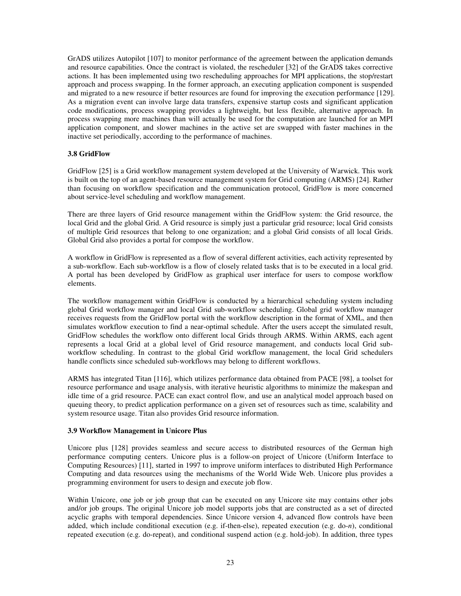GrADS utilizes Autopilot [107] to monitor performance of the agreement between the application demands and resource capabilities. Once the contract is violated, the rescheduler [32] of the GrADS takes corrective actions. It has been implemented using two rescheduling approaches for MPI applications, the stop/restart approach and process swapping. In the former approach, an executing application component is suspended and migrated to a new resource if better resources are found for improving the execution performance [129]. As a migration event can involve large data transfers, expensive startup costs and significant application code modifications, process swapping provides a lightweight, but less flexible, alternative approach. In process swapping more machines than will actually be used for the computation are launched for an MPI application component, and slower machines in the active set are swapped with faster machines in the inactive set periodically, according to the performance of machines.

## **3.8 GridFlow**

GridFlow [25] is a Grid workflow management system developed at the University of Warwick. This work is built on the top of an agent-based resource management system for Grid computing (ARMS) [24]. Rather than focusing on workflow specification and the communication protocol, GridFlow is more concerned about service-level scheduling and workflow management.

There are three layers of Grid resource management within the GridFlow system: the Grid resource, the local Grid and the global Grid. A Grid resource is simply just a particular grid resource; local Grid consists of multiple Grid resources that belong to one organization; and a global Grid consists of all local Grids. Global Grid also provides a portal for compose the workflow.

A workflow in GridFlow is represented as a flow of several different activities, each activity represented by a sub-workflow. Each sub-workflow is a flow of closely related tasks that is to be executed in a local grid. A portal has been developed by GridFlow as graphical user interface for users to compose workflow elements.

The workflow management within GridFlow is conducted by a hierarchical scheduling system including global Grid workflow manager and local Grid sub-workflow scheduling. Global grid workflow manager receives requests from the GridFlow portal with the workflow description in the format of XML, and then simulates workflow execution to find a near-optimal schedule. After the users accept the simulated result, GridFlow schedules the workflow onto different local Grids through ARMS. Within ARMS, each agent represents a local Grid at a global level of Grid resource management, and conducts local Grid subworkflow scheduling. In contrast to the global Grid workflow management, the local Grid schedulers handle conflicts since scheduled sub-workflows may belong to different workflows.

ARMS has integrated Titan [116], which utilizes performance data obtained from PACE [98], a toolset for resource performance and usage analysis, with iterative heuristic algorithms to minimize the makespan and idle time of a grid resource. PACE can exact control flow, and use an analytical model approach based on queuing theory, to predict application performance on a given set of resources such as time, scalability and system resource usage. Titan also provides Grid resource information.

#### **3.9 Workflow Management in Unicore Plus**

Unicore plus [128] provides seamless and secure access to distributed resources of the German high performance computing centers. Unicore plus is a follow-on project of Unicore (Uniform Interface to Computing Resources) [11], started in 1997 to improve uniform interfaces to distributed High Performance Computing and data resources using the mechanisms of the World Wide Web. Unicore plus provides a programming environment for users to design and execute job flow.

Within Unicore, one job or job group that can be executed on any Unicore site may contains other jobs and/or job groups. The original Unicore job model supports jobs that are constructed as a set of directed acyclic graphs with temporal dependencies. Since Unicore version 4, advanced flow controls have been added, which include conditional execution (e.g. if-then-else), repeated execution (e.g. do-*n*), conditional repeated execution (e.g. do-repeat), and conditional suspend action (e.g. hold-job). In addition, three types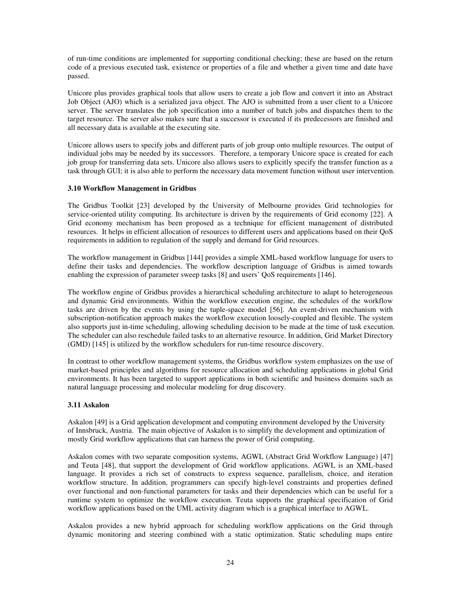of run-time conditions are implemented for supporting conditional checking; these are based on the return code of a previous executed task, existence or properties of a file and whether a given time and date have passed.

Unicore plus provides graphical tools that allow users to create a job flow and convert it into an Abstract Job Object (AJO) which is a serialized java object. The AJO is submitted from a user client to a Unicore server. The server translates the job specification into a number of batch jobs and dispatches them to the target resource. The server also makes sure that a successor is executed if its predecessors are finished and all necessary data is available at the executing site.

Unicore allows users to specify jobs and different parts of job group onto multiple resources. The output of individual jobs may be needed by its successors. Therefore, a temporary Unicore space is created for each job group for transferring data sets. Unicore also allows users to explicitly specify the transfer function as a task through GUI; it is also able to perform the necessary data movement function without user intervention.

# **3.10 Workflow Management in Gridbus**

The Gridbus Toolkit [23] developed by the University of Melbourne provides Grid technologies for service-oriented utility computing. Its architecture is driven by the requirements of Grid economy [22]. A Grid economy mechanism has been proposed as a technique for efficient management of distributed resources. It helps in efficient allocation of resources to different users and applications based on their QoS requirements in addition to regulation of the supply and demand for Grid resources.

The workflow management in Gridbus [144] provides a simple XML-based workflow language for users to define their tasks and dependencies. The workflow description language of Gridbus is aimed towards enabling the expression of parameter sweep tasks [8] and users' QoS requirements [146].

The workflow engine of Gridbus provides a hierarchical scheduling architecture to adapt to heterogeneous and dynamic Grid environments. Within the workflow execution engine, the schedules of the workflow tasks are driven by the events by using the tuple-space model [56]. An event-driven mechanism with subscription-notification approach makes the workflow execution loosely-coupled and flexible. The system also supports just in-time scheduling, allowing scheduling decision to be made at the time of task execution. The scheduler can also reschedule failed tasks to an alternative resource. In addition, Grid Market Directory (GMD) [145] is utilized by the workflow schedulers for run-time resource discovery.

In contrast to other workflow management systems, the Gridbus workflow system emphasizes on the use of market-based principles and algorithms for resource allocation and scheduling applications in global Grid environments. It has been targeted to support applications in both scientific and business domains such as natural language processing and molecular modeling for drug discovery.

#### **3.11 Askalon**

Askalon [49] is a Grid application development and computing environment developed by the University of Innsbruck, Austria. The main objective of Askalon is to simplify the development and optimization of mostly Grid workflow applications that can harness the power of Grid computing.

Askalon comes with two separate composition systems, AGWL (Abstract Grid Workflow Language) [47] and Teuta [48], that support the development of Grid workflow applications. AGWL is an XML-based language. It provides a rich set of constructs to express sequence, parallelism, choice, and iteration workflow structure. In addition, programmers can specify high-level constraints and properties defined over functional and non-functional parameters for tasks and their dependencies which can be useful for a runtime system to optimize the workflow execution. Teuta supports the graphical specification of Grid workflow applications based on the UML activity diagram which is a graphical interface to AGWL.

Askalon provides a new hybrid approach for scheduling workflow applications on the Grid through dynamic monitoring and steering combined with a static optimization. Static scheduling maps entire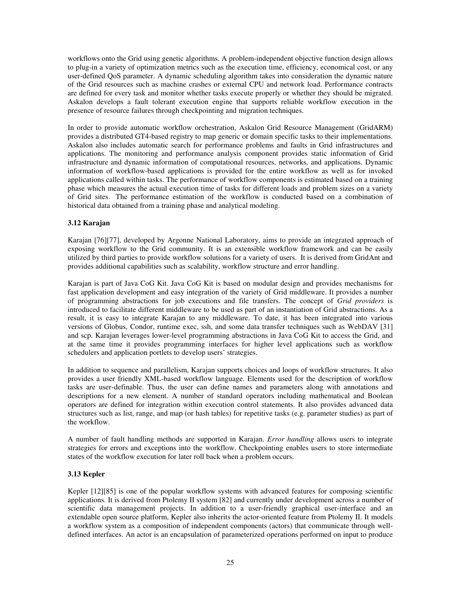workflows onto the Grid using genetic algorithms. A problem-independent objective function design allows to plug-in a variety of optimization metrics such as the execution time, efficiency, economical cost, or any user-defined QoS parameter. A dynamic scheduling algorithm takes into consideration the dynamic nature of the Grid resources such as machine crashes or external CPU and network load. Performance contracts are defined for every task and monitor whether tasks execute properly or whether they should be migrated. Askalon develops a fault tolerant execution engine that supports reliable workflow execution in the presence of resource failures through checkpointing and migration techniques.

In order to provide automatic workflow orchestration, Askalon Grid Resource Management (GridARM) provides a distributed GT4-based registry to map generic or domain specific tasks to their implementations. Askalon also includes automatic search for performance problems and faults in Grid infrastructures and applications. The monitoring and performance analysis component provides static information of Grid infrastructure and dynamic information of computational resources, networks, and applications. Dynamic information of workflow-based applications is provided for the entire workflow as well as for invoked applications called within tasks. The performance of workflow components is estimated based on a training phase which measures the actual execution time of tasks for different loads and problem sizes on a variety of Grid sites. The performance estimation of the workflow is conducted based on a combination of historical data obtained from a training phase and analytical modeling.

# **3.12 Karajan**

Karajan [76][77], developed by Argonne National Laboratory, aims to provide an integrated approach of exposing workflow to the Grid community. It is an extensible workflow framework and can be easily utilized by third parties to provide workflow solutions for a variety of users. It is derived from GridAnt and provides additional capabilities such as scalability, workflow structure and error handling.

Karajan is part of Java CoG Kit. Java CoG Kit is based on modular design and provides mechanisms for fast application development and easy integration of the variety of Grid middleware. It provides a number of programming abstractions for job executions and file transfers. The concept of *Grid providers* is introduced to facilitate different middleware to be used as part of an instantiation of Grid abstractions. As a result, it is easy to integrate Karajan to any middleware. To date, it has been integrated into various versions of Globus, Condor, runtime exec, ssh, and some data transfer techniques such as WebDAV [31] and scp. Karajan leverages lower-level programming abstractions in Java CoG Kit to access the Grid, and at the same time it provides programming interfaces for higher level applications such as workflow schedulers and application portlets to develop users' strategies.

In addition to sequence and parallelism, Karajan supports choices and loops of workflow structures. It also provides a user friendly XML-based workflow language. Elements used for the description of workflow tasks are user-definable. Thus, the user can define names and parameters along with annotations and descriptions for a new element. A number of standard operators including mathematical and Boolean operators are defined for integration within execution control statements. It also provides advanced data structures such as list, range, and map (or hash tables) for repetitive tasks (e.g. parameter studies) as part of the workflow.

A number of fault handling methods are supported in Karajan. *Error handling* allows users to integrate strategies for errors and exceptions into the workflow. Checkpointing enables users to store intermediate states of the workflow execution for later roll back when a problem occurs.

# **3.13 Kepler**

Kepler [12][85] is one of the popular workflow systems with advanced features for composing scientific applications. It is derived from Ptolemy II system [82] and currently under development across a number of scientific data management projects. In addition to a user-friendly graphical user-interface and an extendable open source platform, Kepler also inherits the actor-oriented feature from Ptolemy II. It models a workflow system as a composition of independent components (actors) that communicate through welldefined interfaces. An actor is an encapsulation of parameterized operations performed on input to produce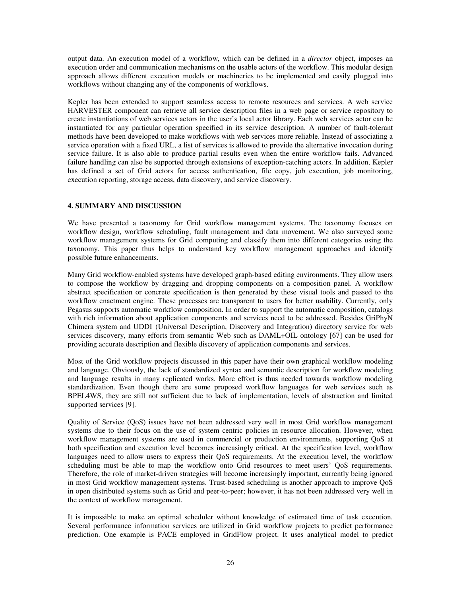output data. An execution model of a workflow, which can be defined in a *director* object, imposes an execution order and communication mechanisms on the usable actors of the workflow. This modular design approach allows different execution models or machineries to be implemented and easily plugged into workflows without changing any of the components of workflows.

Kepler has been extended to support seamless access to remote resources and services. A web service HARVESTER component can retrieve all service description files in a web page or service repository to create instantiations of web services actors in the user's local actor library. Each web services actor can be instantiated for any particular operation specified in its service description. A number of fault-tolerant methods have been developed to make workflows with web services more reliable. Instead of associating a service operation with a fixed URL, a list of services is allowed to provide the alternative invocation during service failure. It is also able to produce partial results even when the entire workflow fails. Advanced failure handling can also be supported through extensions of exception-catching actors. In addition, Kepler has defined a set of Grid actors for access authentication, file copy, job execution, job monitoring, execution reporting, storage access, data discovery, and service discovery.

## **4. SUMMARY AND DISCUSSION**

We have presented a taxonomy for Grid workflow management systems. The taxonomy focuses on workflow design, workflow scheduling, fault management and data movement. We also surveyed some workflow management systems for Grid computing and classify them into different categories using the taxonomy. This paper thus helps to understand key workflow management approaches and identify possible future enhancements.

Many Grid workflow-enabled systems have developed graph-based editing environments. They allow users to compose the workflow by dragging and dropping components on a composition panel. A workflow abstract specification or concrete specification is then generated by these visual tools and passed to the workflow enactment engine. These processes are transparent to users for better usability. Currently, only Pegasus supports automatic workflow composition. In order to support the automatic composition, catalogs with rich information about application components and services need to be addressed. Besides GriPhyN Chimera system and UDDI (Universal Description, Discovery and Integration) directory service for web services discovery, many efforts from semantic Web such as DAML+OIL ontology [67] can be used for providing accurate description and flexible discovery of application components and services.

Most of the Grid workflow projects discussed in this paper have their own graphical workflow modeling and language. Obviously, the lack of standardized syntax and semantic description for workflow modeling and language results in many replicated works. More effort is thus needed towards workflow modeling standardization. Even though there are some proposed workflow languages for web services such as BPEL4WS, they are still not sufficient due to lack of implementation, levels of abstraction and limited supported services [9].

Quality of Service (QoS) issues have not been addressed very well in most Grid workflow management systems due to their focus on the use of system centric policies in resource allocation. However, when workflow management systems are used in commercial or production environments, supporting QoS at both specification and execution level becomes increasingly critical. At the specification level, workflow languages need to allow users to express their QoS requirements. At the execution level, the workflow scheduling must be able to map the workflow onto Grid resources to meet users' QoS requirements. Therefore, the role of market-driven strategies will become increasingly important, currently being ignored in most Grid workflow management systems. Trust-based scheduling is another approach to improve QoS in open distributed systems such as Grid and peer-to-peer; however, it has not been addressed very well in the context of workflow management.

It is impossible to make an optimal scheduler without knowledge of estimated time of task execution. Several performance information services are utilized in Grid workflow projects to predict performance prediction. One example is PACE employed in GridFlow project. It uses analytical model to predict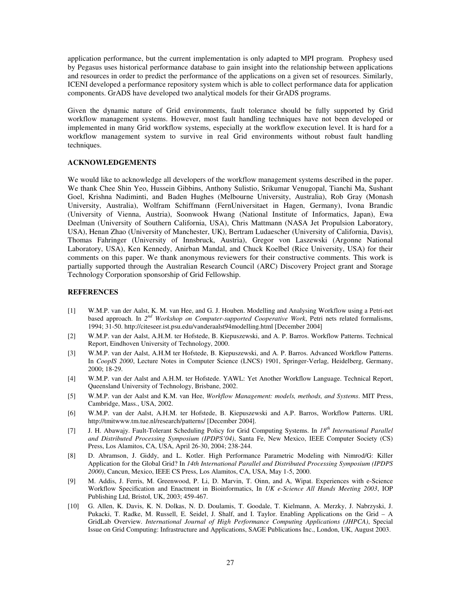application performance, but the current implementation is only adapted to MPI program. Prophesy used by Pegasus uses historical performance database to gain insight into the relationship between applications and resources in order to predict the performance of the applications on a given set of resources. Similarly, ICENI developed a performance repository system which is able to collect performance data for application components. GrADS have developed two analytical models for their GrADS programs.

Given the dynamic nature of Grid environments, fault tolerance should be fully supported by Grid workflow management systems. However, most fault handling techniques have not been developed or implemented in many Grid workflow systems, especially at the workflow execution level. It is hard for a workflow management system to survive in real Grid environments without robust fault handling techniques.

#### **ACKNOWLEDGEMENTS**

We would like to acknowledge all developers of the workflow management systems described in the paper. We thank Chee Shin Yeo, Hussein Gibbins, Anthony Sulistio, Srikumar Venugopal, Tianchi Ma, Sushant Goel, Krishna Nadiminti, and Baden Hughes (Melbourne University, Australia), Rob Gray (Monash University, Australia), Wolfram Schiffmann (FernUniversitaet in Hagen, Germany), Ivona Brandic (University of Vienna, Austria), Soonwook Hwang (National Institute of Informatics, Japan), Ewa Deelman (University of Southern California, USA), Chris Mattmann (NASA Jet Propulsion Laboratory, USA), Henan Zhao (University of Manchester, UK), Bertram Ludaescher (University of California, Davis), Thomas Fahringer (University of Innsbruck, Austria), Gregor von Laszewski (Argonne National Laboratory, USA), Ken Kennedy, Anirban Mandal, and Chuck Koelbel (Rice University, USA) for their comments on this paper. We thank anonymous reviewers for their constructive comments. This work is partially supported through the Australian Research Council (ARC) Discovery Project grant and Storage Technology Corporation sponsorship of Grid Fellowship.

#### **REFERENCES**

- [1] W.M.P. van der Aalst, K. M. van Hee, and G. J. Houben. Modelling and Analysing Workflow using a Petri-net based approach. In 2<sup>nd</sup> Workshop on Computer-supported Cooperative Work, Petri nets related formalisms, 1994; 31-50. http://citeseer.ist.psu.edu/vanderaalst94modelling.html [December 2004]
- [2] W.M.P. van der Aalst, A.H.M. ter Hofstede, B. Kiepuszewski, and A. P. Barros. Workflow Patterns. Technical Report, Eindhoven University of Technology, 2000.
- [3] W.M.P. van der Aalst, A.H.M ter Hofstede, B. Kiepuszewski, and A. P. Barros. Advanced Workflow Patterns. In *CoopIS 2000*, Lecture Notes in Computer Science (LNCS) 1901, Springer-Verlag, Heidelberg, Germany, 2000; 18-29.
- [4] W.M.P. van der Aalst and A.H.M. ter Hofstede. YAWL: Yet Another Workflow Language. Technical Report, Queensland University of Technology, Brisbane, 2002.
- [5] W.M.P. van der Aalst and K.M. van Hee, *Workflow Management: models, methods, and Systems*. MIT Press, Cambridge, Mass., USA, 2002.
- [6] W.M.P. van der Aalst, A.H.M. ter Hofstede, B. Kiepuszewski and A.P. Barros, Workflow Patterns. URL http://tmitwww.tm.tue.nl/research/patterns/ [December 2004].
- [7] J. H. Abawajy. Fault-Tolerant Scheduling Policy for Grid Computing Systems. In *18th International Parallel and Distributed Processing Symposium (IPDPS'04)*, Santa Fe, New Mexico, IEEE Computer Society (CS) Press, Los Alamitos, CA, USA, April 26-30, 2004; 238-244.
- [8] D. Abramson, J. Giddy, and L. Kotler. High Performance Parametric Modeling with Nimrod/G: Killer Application for the Global Grid? In *14th International Parallel and Distributed Processing Symposium (IPDPS 2000)*, Cancun, Mexico, IEEE CS Press, Los Alamitos, CA, USA, May 1-5, 2000.
- [9] M. Addis, J. Ferris, M. Greenwood, P. Li, D. Marvin, T. Oinn, and A, Wipat. Experiences with e-Science Workflow Specification and Enactment in Bioinformatics, In *UK e-Science All Hands Meeting 2003*, IOP Publishing Ltd, Bristol, UK, 2003; 459-467.
- [10] G. Allen, K. Davis, K. N. Dolkas, N. D. Doulamis, T. Goodale, T. Kielmann, A. Merzky, J. Nabrzyski, J. Pukacki, T. Radke, M. Russell, E. Seidel, J. Shalf, and I. Taylor. Enabling Applications on the Grid – A GridLab Overview. *International Journal of High Performance Computing Applications (JHPCA)*, Special Issue on Grid Computing: Infrastructure and Applications, SAGE Publications Inc., London, UK, August 2003.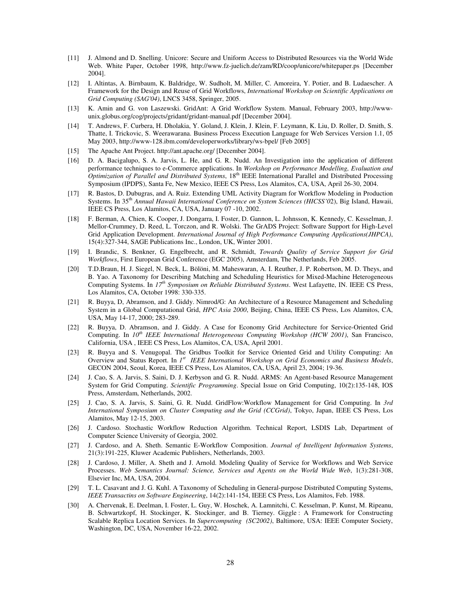- [11] J. Almond and D. Snelling. Unicore: Secure and Uniform Access to Distributed Resources via the World Wide Web. White Paper, October 1998, http://www.fz-juelich.de/zam/RD/coop/unicore/whitepaper.ps [December 2004].
- [12] I. Altintas, A. Birnbaum, K. Baldridge, W. Sudholt, M. Miller, C. Amoreira, Y. Potier, and B. Ludaescher. A Framework for the Design and Reuse of Grid Workflows, *International Workshop on Scientific Applications on Grid Computing (SAG'04)*, LNCS 3458, Springer, 2005.
- [13] K. Amin and G. von Laszewski. GridAnt: A Grid Workflow System. Manual, February 2003, http://wwwunix.globus.org/cog/projects/gridant/gridant-manual.pdf [December 2004].
- [14] T. Andrews, F. Curbera, H. Dholakia, Y. Goland, J. Klein, J. Klein, F. Leymann, K. Liu, D. Roller, D. Smith, S. Thatte, I. Trickovic, S. Weerawarana. Business Process Execution Language for Web Services Version 1.1, 05 May 2003, http://www-128.ibm.com/developerworks/library/ws-bpel/ [Feb 2005]
- [15] The Apache Ant Project. http://ant.apache.org/ [December 2004].
- [16] D. A. Bacigalupo, S. A. Jarvis, L. He, and G. R. Nudd. An Investigation into the application of different performance techniques to e-Commerce applications. In *Workshop on Performance Modelling, Evaluation and Optimization of Parallel and Distributed Systems*, 18<sup>th</sup> IEEE International Parallel and Distributed Processing Symposium (IPDPS), Santa Fe, New Mexico, IEEE CS Press, Los Alamitos, CA, USA, April 26-30, 2004.
- [17] R. Bastos, D. Dubugras, and A. Ruiz. Extending UML Activity Diagram for Workflow Modeling in Production Systems. In 35th *Annual Hawaii International Conference on System Sciences (HICSS'0*2), Big Island, Hawaii, IEEE CS Press, Los Alamitos, CA, USA, January 07 -10, 2002.
- [18] F. Berman, A. Chien, K. Cooper, J. Dongarra, I. Foster, D. Gannon, L. Johnsson, K. Kennedy, C. Kesselman, J. Mellor-Crummey, D. Reed, L. Torczon, and R. Wolski. The GrADS Project: Software Support for High-Level Grid Application Development. *International Journal of High Performance Computing Applications(JHPCA)*, 15(4):327-344, SAGE Publications Inc., London, UK, Winter 2001.
- [19] I. Brandic, S. Benkner, G. Engelbrecht, and R. Schmidt, *Towards Quality of Service Support for Grid Workflows*, First European Grid Conference (EGC 2005), Amsterdam, The Netherlands, Feb 2005.
- [20] T.D.Braun, H. J. Siegel, N. Beck, L. Bölöni, M. Maheswaran, A. I. Reuther, J. P. Robertson, M. D. Theys, and B. Yao. A Taxonomy for Describing Matching and Scheduling Heuristics for Mixed-Machine Heterogeneous Computing Systems. In *17th Symposium on Reliable Distributed Systems*. West Lafayette, IN. IEEE CS Press, Los Alamitos, CA, October 1998: 330-335.
- [21] R. Buyya, D, Abramson, and J. Giddy. Nimrod/G: An Architecture of a Resource Management and Scheduling System in a Global Computational Grid, *HPC Asia 2000*, Beijing, China, IEEE CS Press, Los Alamitos, CA, USA, May 14-17, 2000; 283-289.
- [22] R. Buyya, D. Abramson, and J. Giddy. A Case for Economy Grid Architecture for Service-Oriented Grid Computing. In *10th IEEE International Heterogeneous Computing Workshop (HCW 2001)*, San Francisco, California, USA , IEEE CS Press, Los Alamitos, CA, USA, April 2001.
- [23] R. Buyya and S. Venugopal. The Gridbus Toolkit for Service Oriented Grid and Utility Computing: An Overview and Status Report. In 1<sup>st</sup> IEEE International Workshop on Grid Economics and Business Models, GECON 2004, Seoul, Korea, IEEE CS Press, Los Alamitos, CA, USA, April 23, 2004; 19-36.
- [24] J. Cao, S. A. Jarvis, S. Saini, D. J. Kerbyson and G. R. Nudd. ARMS: An Agent-based Resource Management System for Grid Computing. *Scientific Programming*. Special Issue on Grid Computing, 10(2):135-148, IOS Press, Amsterdam, Netherlands, 2002.
- [25] J. Cao, S. A. Jarvis, S. Saini, G. R. Nudd. GridFlow:Workflow Management for Grid Computing. In *3rd International Symposium on Cluster Computing and the Grid (CCGrid)*, Tokyo, Japan, IEEE CS Press, Los Alamitos, May 12-15, 2003.
- [26] J. Cardoso. Stochastic Workflow Reduction Algorithm. Technical Report, LSDIS Lab, Department of Computer Science University of Georgia, 2002.
- [27] J. Cardoso, and A. Sheth. Semantic E-Workflow Composition. *Journal of Intelligent Information Systems*, 21(3):191-225, Kluwer Academic Publishers, Netherlands, 2003.
- [28] J. Cardoso, J. Miller, A. Sheth and J. Arnold. Modeling Quality of Service for Workflows and Web Service Processes. *Web Semantics Journal: Science, Services and Agents on the World Wide Web*, 1(3):281-308, Elsevier Inc, MA, USA, 2004.
- [29] T. L. Casavant and J. G. Kuhl. A Taxonomy of Scheduling in General-purpose Distributed Computing Systems, *IEEE Transactins on Software Engineering*, 14(2):141-154, IEEE CS Press, Los Alamitos, Feb. 1988.
- [30] A. Chervenak, E. Deelman, I. Foster, L. Guy, W. Hoschek, A. Lamnitchi, C. Kesselman, P. Kunst, M. Ripeanu, B. Schwartzkopf, H. Stockinger, K. Stockinger, and B. Tierney. Giggle : A Framework for Constructing Scalable Replica Location Services. In *Supercomputing (SC2002)*, Baltimore, USA: IEEE Computer Society, Washington, DC, USA, November 16-22, 2002.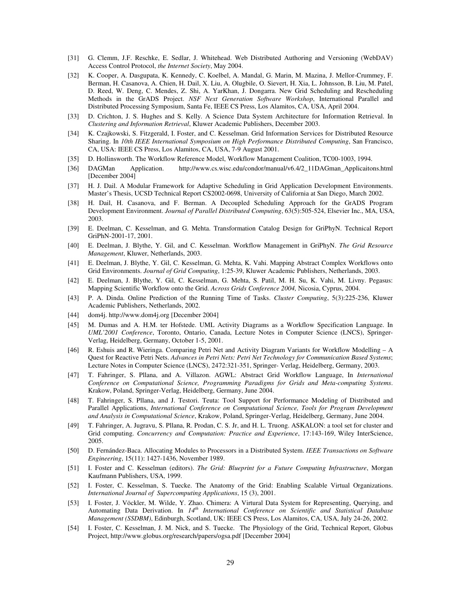- [31] G. Clemm, J.F. Reschke, E. Sedlar, J. Whitehead. Web Distributed Authoring and Versioning (WebDAV) Access Control Protocol, *the Internet Society*, May 2004.
- [32] K. Cooper, A. Dasgupata, K. Kennedy, C. Koelbel, A. Mandal, G. Marin, M. Mazina, J. Mellor-Crummey, F. Berman, H. Casanova, A. Chien, H. Dail, X. Liu, A. Olugbile, O. Sievert, H. Xia, L. Johnsson, B. Liu, M. Patel, D. Reed, W. Deng, C. Mendes, Z. Shi, A. YarKhan, J. Dongarra. New Grid Scheduling and Rescheduling Methods in the GrADS Project. *NSF Next Generation Software Workshop*, International Parallel and Distributed Processing Symposium, Santa Fe, IEEE CS Press, Los Alamitos, CA, USA, April 2004.
- [33] D. Crichton, J. S. Hughes and S. Kelly. A Science Data System Architecture for Information Retrieval. In *Clustering and Information Retrieval*, Kluwer Academic Publishers, December 2003.
- [34] K. Czajkowski, S. Fitzgerald, I. Foster, and C. Kesselman. Grid Information Services for Distributed Resource Sharing. In *10th IEEE International Symposium on High Performance Distributed Computing*, San Francisco, CA, USA: IEEE CS Press, Los Alamitos, CA, USA, 7-9 August 2001.
- [35] D. Hollinsworth. The Workflow Reference Model, Workflow Management Coalition, TC00-1003, 1994.
- [36] DAGMan Application. http://www.cs.wisc.edu/condor/manual/v6.4/2\_11DAGman\_Applicaitons.html [December 2004]
- [37] H. J. Dail. A Modular Framework for Adaptive Scheduling in Grid Application Development Environments. Master's Thesis, UCSD Technical Report CS2002-0698, University of California at San Diego, March 2002.
- [38] H. Dail, H. Casanova, and F. Berman. A Decoupled Scheduling Approach for the GrADS Program Development Environment. *Journal of Parallel Distributed Computing*, 63(5):505-524, Elsevier Inc., MA, USA, 2003.
- [39] E. Deelman, C. Kesselman, and G. Mehta. Transformation Catalog Design for GriPhyN. Technical Report GriPhN-2001-17, 2001.
- [40] E. Deelman, J. Blythe, Y. Gil, and C. Kesselman. Workflow Management in GriPhyN. *The Grid Resource Management*, Kluwer, Netherlands, 2003.
- [41] E. Deelman, J. Blythe, Y. Gil, C. Kesselman, G. Mehta, K. Vahi. Mapping Abstract Complex Workflows onto Grid Environments. *Journal of Grid Computing*, 1:25-39, Kluwer Academic Publishers, Netherlands, 2003.
- [42] E. Deelman, J. Blythe, Y. Gil, C. Kesselman, G. Mehta, S. Patil, M. H. Su, K. Vahi, M. Livny. Pegasus: Mapping Scientific Workflow onto the Grid. *Across Grids Conference 2004,* Nicosia, Cyprus, 2004.
- [43] P. A. Dinda. Online Prediction of the Running Time of Tasks. *Cluster Computing*, 5(3):225-236, Kluwer Academic Publishers, Netherlands, 2002.
- [44] dom4j. http://www.dom4j.org [December 2004]
- [45] M. Dumas and A. H.M. ter Hofstede. UML Activity Diagrams as a Workflow Specification Language. In *UML'2001 Conference*, Toronto, Ontario, Canada, Lecture Notes in Computer Science (LNCS), Springer-Verlag, Heidelberg, Germany, October 1-5, 2001.
- [46] R. Eshuis and R. Wieringa. Comparing Petri Net and Activity Diagram Variants for Workflow Modelling A Quest for Reactive Petri Nets. *Advances in Petri Nets: Petri Net Technology for Communication Based Systems*; Lecture Notes in Computer Science (LNCS), 2472:321-351, Springer- Verlag, Heidelberg, Germany, 2003.
- [47] T. Fahringer, S. Pllana, and A. Villazon. AGWL: Abstract Grid Workflow Language, In *International Conference on Computational Science, Programming Paradigms for Grids and Meta-computing Systems*. Krakow, Poland, Springer-Verlag, Heidelberg, Germany, June 2004.
- [48] T. Fahringer, S. Pllana, and J. Testori. Teuta: Tool Support for Performance Modeling of Distributed and Parallel Applications, *International Conference on Computational Science, Tools for Program Development and Analysis in Computational Science*, Krakow, Poland, Springer-Verlag, Heidelberg, Germany, June 2004.
- [49] T. Fahringer, A. Jugravu, S. Pllana, R. Prodan, C. S. Jr, and H. L. Truong. ASKALON: a tool set for cluster and Grid computing. *Concurrency and Computation: Practice and Experience*, 17:143-169, Wiley InterScience, 2005.
- [50] D. Fernández-Baca. Allocating Modules to Processors in a Distributed System. *IEEE Transactions on Software Engineering*, 15(11): 1427-1436, November 1989.
- [51] I. Foster and C. Kesselman (editors). *The Grid: Blueprint for a Future Computing Infrastructure*, Morgan Kaufmann Publishers, USA, 1999.
- [52] I. Foster, C. Kesselman, S. Tuecke. The Anatomy of the Grid: Enabling Scalable Virtual Organizations. *International Journal of Supercomputing Applications*, 15 (3), 2001.
- [53] I. Foster, J. Vöckler, M. Wilde, Y. Zhao. Chimera: A Virtural Data System for Representing, Querying, and Automating Data Derivation. In *14th International Conference on Scientific and Statistical Database Management (SSDBM)*, Edinburgh, Scotland, UK: IEEE CS Press, Los Alamitos, CA, USA, July 24-26, 2002.
- [54] I. Foster, C. Kesselman, J. M. Nick, and S. Tuecke. The Physiology of the Grid, Technical Report, Globus Project, http://www.globus.org/research/papers/ogsa.pdf [December 2004]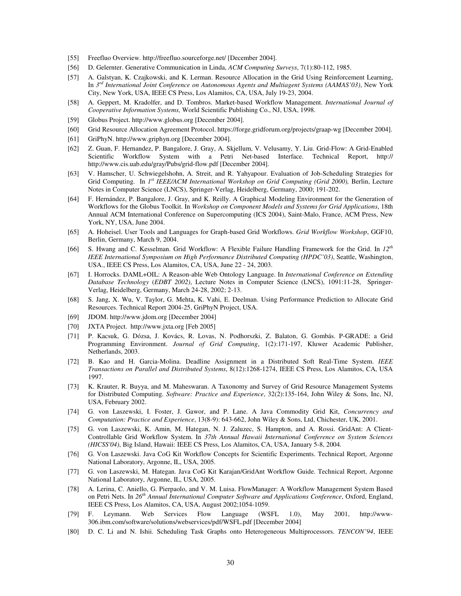- [55] Freefluo Overview. http://freefluo.sourceforge.net/ [December 2004].
- [56] D. Gelernter. Generative Communication in Linda, *ACM Computing Surveys*, 7(1):80-112, 1985.
- [57] A. Galstyan, K. Czajkowski, and K. Lerman. Resource Allocation in the Grid Using Reinforcement Learning, In *3 rd International Joint Conference on Autonomous Agents and Multiagent Systems (AAMAS'03)*, New York City, New York, USA, IEEE CS Press, Los Alamitos, CA, USA, July 19-23, 2004.
- [58] A. Geppert, M. Kradolfer, and D. Tombros. Market-based Workflow Management. *International Journal of Cooperative Information Systems,* World Scientific Publishing Co., NJ, USA, 1998.
- [59] Globus Project. http://www.globus.org [December 2004].
- [60] Grid Resource Allocation Agreement Protocol. https://forge.gridforum.org/projects/graap-wg [December 2004].
- [61] GriPhyN. http://www.griphyn.org [December 2004].
- [62] Z. Guan, F. Hernandez, P. Bangalore, J. Gray, A. Skjellum, V. Velusamy, Y. Liu. Grid-Flow: A Grid-Enabled Scientific Workflow System with a Petri Net-based Interface. Technical Report, http:// http://www.cis.uab.edu/gray/Pubs/grid-flow.pdf [December 2004].
- [63] V. Hamscher, U. Schwiegelshohn, A. Streit, and R. Yahyapour. Evaluation of Job-Scheduling Strategies for Grid Computing. In *1<sup>st</sup> IEEE/ACM International Workshop on Grid Computing (Grid 2000)*, Berlin, Lecture Notes in Computer Science (LNCS), Springer-Verlag, Heidelberg, Germany, 2000; 191-202.
- [64] F. Hernández, P. Bangalore, J. Gray, and K. Reilly. A Graphical Modeling Environment for the Generation of Workflows for the Globus Toolkit. In *Workshop on Component Models and Systems for Grid Applications*, 18th Annual ACM International Conference on Supercomputing (ICS 2004), Saint-Malo, France, ACM Press, New York, NY, USA, June 2004.
- [65] A. Hoheisel. User Tools and Languages for Graph-based Grid Workflows. *Grid Workflow Workshop*, GGF10, Berlin, Germany, March 9, 2004.
- [66] S. Hwang and C. Kesselman. Grid Workflow: A Flexible Failure Handling Framework for the Grid. In *12th IEEE International Symposium on High Performance Distributed Computing (HPDC'03)*, Seattle, Washington, USA., IEEE CS Press, Los Alamitos, CA, USA, June 22 - 24, 2003.
- [67] I. Horrocks. DAML+OIL: A Reason-able Web Ontology Language. In *International Conference on Extending Database Technology* (*EDBT 2002)*, Lecture Notes in Computer Science (LNCS), 1091:11-28, Springer-Verlag, Heidelberg, Germany, March 24-28, 2002; 2-13.
- [68] S. Jang, X. Wu, V. Taylor, G. Mehta, K. Vahi, E. Deelman. Using Performance Prediction to Allocate Grid Resources. Technical Report 2004-25, GriPhyN Project, USA.
- [69] JDOM. http://www.jdom.org [December 2004]
- [70] JXTA Project. http://www.jxta.org [Feb 2005]
- [71] P. Kacsuk, G. Dózsa, J. Kovács, R. Lovas, N. Podhorszki, Z. Balaton, G. Gombás. P-GRADE: a Grid Programming Environment. *Journal of Grid Computing*, 1(2):171-197, Kluwer Academic Publisher, Netherlands, 2003.
- [72] B. Kao and H. Garcia-Molina. Deadline Assignment in a Distributed Soft Real-Time System. *IEEE Transactions on Parallel and Distributed Systems*, 8(12):1268-1274, IEEE CS Press, Los Alamitos, CA, USA 1997.
- [73] K. Krauter, R. Buyya, and M. Maheswaran. A Taxonomy and Survey of Grid Resource Management Systems for Distributed Computing. *Software: Practice and Experience*, 32(2):135-164, John Wiley & Sons, Inc, NJ, USA, February 2002.
- [74] G. von Laszewski, I. Foster, J. Gawor, and P. Lane. A Java Commodity Grid Kit, *Concurrency and Computation: Practice and Experience*, 13(8-9): 643-662, John Wiley & Sons, Ltd, Chichester, UK, 2001.
- [75] G. von Laszewski, K. Amin, M. Hategan, N. J. Zaluzec, S. Hampton, and A. Rossi. GridAnt: A Client-Controllable Grid Workflow System. In *37th Annual Hawaii International Conference on System Sciences (HICSS'04)*, Big Island, Hawaii: IEEE CS Press, Los Alamitos, CA, USA, January 5-8, 2004.
- [76] G. Von Laszewski. Java CoG Kit Workflow Concepts for Scientific Experiments. Technical Report, Argonne National Laboratory, Argonne, IL, USA, 2005.
- [77] G. von Laszewski, M. Hategan. Java CoG Kit Karajan/GridAnt Workflow Guide. Technical Report, Argonne National Laboratory, Argonne, IL, USA, 2005.
- [78] A. Lerina, C. Aniello, G. Pierpaolo, and V. M. Luisa. FlowManager: A Workflow Management System Based on Petri Nets. In *26th Annual International Computer Software and Applications Conference*, Oxford, England, IEEE CS Press, Los Alamitos, CA, USA, August 2002;1054-1059.
- [79] F. Leymann. Web Services Flow Language (WSFL 1.0), May 2001, http://www-306.ibm.com/software/solutions/webservices/pdf/WSFL.pdf [December 2004]
- [80] D. C. Li and N. Ishii. Scheduling Task Graphs onto Heterogeneous Multiprocessors. *TENCON'94*, IEEE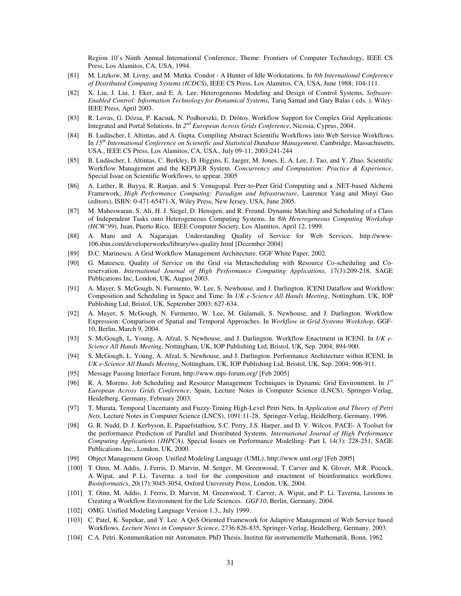Region 10's Ninth Annual International Conference, Theme: Frontiers of Computer Technology, IEEE CS Press, Los Alamitos, CA, USA, 1994.

- [81] M. Litzkow, M. Livny, and M. Mutka. Condor A Hunter of Idle Workstations. In *8th International Conference of Distributed Computing Systems (ICDCS)*, IEEE CS Press, Los Alamitos, CA, USA, June 1988; 104-111.
- [82] X. Liu, J. Liu, J. Eker, and E. A. Lee. Heterogeneous Modeling and Design of Control Systems, *Software-Enabled Control: Information Technology for Dynamical Systems*, Tariq Samad and Gary Balas ( eds. ), Wiley-IEEE Press, April 2003.
- [83] R. Lovas, G. Dózsa, P. Kacsuk, N. Podhorszki, D. Drótos. Workflow Support for Complex Grid Applications: Integrated and Portal Solutions. In 2<sup>nd</sup> European Across Grids Conference, Nicosia, Cyprus, 2004.
- [84] B. Ludäscher, I. Altintas, and A. Gupta. Compiling Abstract Scientific Workflows into Web Service Workflows. In 15<sup>th</sup> International Conference on Scientific and Statistical Database Management, Cambridge, Massachusetts, USA., IEEE CS Press, Los Alamitos, CA, USA., July 09-11, 2003;241-244
- [85] B. Ludäscher, I. Altintas, C. Berkley, D. Higgins, E. Jaeger, M. Jones, E. A. Lee, J. Tao, and Y. Zhao. Scientific Workflow Management and the KEPLER System. *Concurrency and Computation: Practice & Experience*, Special Issue on Scientific Workflows, to appear, 2005
- [86] A. Luther, R. Buyya, R. Ranjan, and S. Venugopal. Peer-to-Peer Grid Computing and a .NET-based Alchemi Framework, *High Performance Computing: Paradigm and Infrastructure*, Laurence Yang and Minyi Guo (editors), ISBN: 0-471-65471-X, Wiley Press, New Jersey, USA, June 2005.
- [87] M. Maheswaran, S. Ali, H. J. Siegel, D. Hensgen, and R. Freund. Dynamic Matching and Scheduling of a Class of Independent Tasks onto Heterogeneous Computing Systems. In *8th Heterogeneous Computing Workshop (HCW'99*), Juan, Puerto Rico, IEEE Computer Society, Los Alamitos, April 12, 1999.
- [88] A. Mani and A. Nagarajan. Understanding Quality of Service for Web Services. http://www-106.ibm.com/developerworks/library/ws-quality.html [December 2004]
- [89] D.C. Marinescu. A Grid Workflow Management Architecture. GGF White Paper, 2002.
- [90] G. Mateescu. Quality of Service on the Grid via Metascheduling with Resource Co-scheduling and Coreservation. *International Journal of High Performance Computing Applications*, 17(3):209-218, SAGE Publications Inc, London, UK, August 2003.
- [91] A. Mayer, S. McGough, N. Furmento, W. Lee, S. Newhouse, and J. Darlington. ICENI Dataflow and Workflow: Composition and Scheduling in Space and Time. In *UK e-Science All Hands Meeting*, Nottingham, UK, IOP Publishing Ltd, Bristol, UK, September 2003; 627-634.
- [92] A. Mayer, S. McGough, N. Furmento, W. Lee, M. Gulamali, S. Newhouse, and J. Darlington. Workflow Expression: Comparison of Spatial and Temporal Approaches. In *Workflow in Grid Systems Workshop*, GGF-10, Berlin, March 9, 2004.
- [93] S. McGough, L. Young, A. Afzal, S. Newhouse, and J. Darlington. Workflow Enactment in ICENI. In *UK e-Science All Hands Meeting*, Nottingham, UK, IOP Publishing Ltd, Bristol, UK, Sep. 2004; 894-900.
- [94] S. McGough, L. Young, A. Afzal, S. Newhouse, and J. Darlington. Performance Architecture within ICENI. In *UK e-Science All Hands Meeting*, Nottingham, UK, IOP Publishing Ltd, Bristol, UK, Sep. 2004; 906-911.
- [95] Message Passing Interface Forum, http://www.mpi-forum.org/ [Feb 2005]
- [96] R. A. Moreno. Job Scheduling and Resource Management Techniques in Dynamic Grid Environment. In *1 st European Across Grids Conference*, Spain, Lecture Notes in Computer Science (LNCS), Springer-Verlag, Heidelberg, Germany, February 2003.
- [97] T. Murata, Temporal Uncertainty and Fuzzy-Timing High-Level Petri Nets. In *Application and Theory of Petri Nets*, Lecture Notes in Computer Science (LNCS), 1091:11-28, Springer-Verlag, Heidelberg, Germany, 1996.
- [98] G. R. Nudd, D. J. Kerbyson, E. Papaefstathiou, S.C. Perry, J.S. Harper, and D. V. Wilcox. PACE- A Toolset for the performance Prediction of Parallel and Distributed Systems. *International Journal of High Performance Computing Applications (JHPCA)*, Special Issues on Performance Modelling- Part I, 14(3): 228-251, SAGE Publications Inc., London, UK, 2000.
- [99] Object Management Group. Unified Modeling Language (UML), http://www.uml.org/ [Feb 2005]
- [100] T. Oinn, M. Addis, J. Ferris, D. Marvin, M. Senger, M. Greenwood, T. Carver and K. Glover, M.R. Pocock, A. Wipat, and P. Li. Taverna: a tool for the composition and enactment of bioinformatics workflows. *Bioinformatics*, 20(17):3045-3054, Oxford University Press, London, UK, 2004.
- [101] T. Oinn, M. Addis, J. Ferris, D. Marvin, M. Greenwood, T. Carver, A. Wipat, and P. Li. Taverna, Lessons in Creating a Workflow Environment for the Life Sciences. *GGF10*, Berlin, Germany, 2004.
- [102] OMG. Unified Modeling Language Version 1.3., July 1999.
- [103] C. Patel, K. Supekar, and Y. Lee. A QoS Oriented Framework for Adaptive Management of Web Service based Workflows. *Lecture Notes in Computer Science*, 2736:826-835, Springer-Verlag, Heidelberg, Germany, 2003.
- [104] C.A. Petri. Kommunikation mit Automaten. PhD Thesis, Institut für instrumentelle Mathematik, Bonn, 1962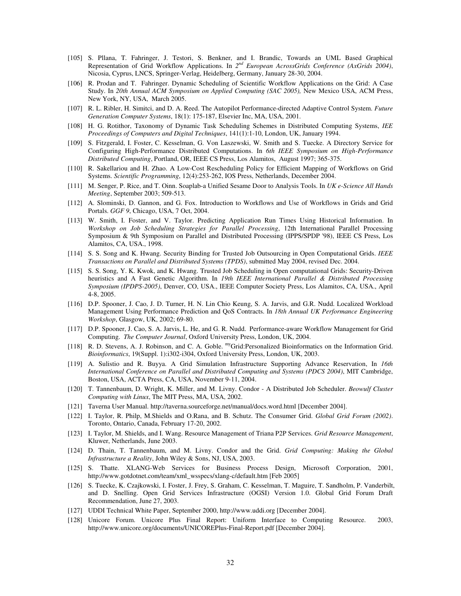- [105] S. Pllana, T. Fahringer, J. Testori, S. Benkner, and I. Brandic, Towards an UML Based Graphical Representation of Grid Workflow Applications. In 2<sup>nd</sup> European AcrossGrids Conference (AxGrids 2004), Nicosia, Cyprus, LNCS, Springer-Verlag, Heidelberg, Germany, January 28-30, 2004.
- [106] R. Prodan and T. Fahringer. Dynamic Scheduling of Scientific Workflow Applications on the Grid: A Case Study. In *20th Annual ACM Symposium on Applied Computing (SAC 2005),* New Mexico USA, ACM Press, New York, NY, USA, March 2005.
- [107] R. L. Ribler, H. Simitci, and D. A. Reed. The Autopilot Performance-directed Adaptive Control System. *Future Generation Computer Systems*, 18(1): 175-187, Elsevier Inc, MA, USA, 2001.
- [108] H. G. Rotithor, Taxonomy of Dynamic Task Scheduling Schemes in Distributed Computing Systems, *IEE Proceedings of Computers and Digital Techniques*, 141(1):1-10, London, UK, January 1994.
- [109] S. Fitzgerald, I. Foster, C. Kesselman, G. Von Laszewski, W. Smith and S. Tuecke. A Directory Service for Configuring High-Performance Distributed Computations. In *6th IEEE Symposium on High-Performance Distributed Computing*, Portland, OR, IEEE CS Press, Los Alamitos, August 1997; 365-375.
- [110] R. Sakellariou and H. Zhao. A Low-Cost Rescheduling Policy for Efficient Mapping of Workflows on Grid Systems. *Scientific Programming*, 12(4):253-262, IOS Press, Netherlands, December 2004.
- [111] M. Senger, P. Rice, and T. Oinn. Soaplab-a Unified Sesame Door to Analysis Tools. In *UK e-Science All Hands Meeting*, September 2003; 509-513.
- [112] A. Slominski, D. Gannon, and G. Fox. Introduction to Workflows and Use of Workflows in Grids and Grid Portals. *GGF 9*, Chicago, USA, 7 Oct, 2004.
- [113] W. Smith, I. Foster, and V. Taylor. Predicting Application Run Times Using Historical Information. In *Workshop on Job Scheduling Strategies for Parallel Processing*, 12th International Parallel Processing Symposium & 9th Symposium on Parallel and Distributed Processing (IPPS/SPDP '98), IEEE CS Press, Los Alamitos, CA, USA., 1998.
- [114] S. S. Song and K. Hwang. Security Binding for Trusted Job Outsourcing in Open Computational Grids. *IEEE Transactions on Parallel and Distributed Systems (TPDS)*, submitted May 2004, revised Dec. 2004.
- [115] S. S. Song, Y. K. Kwok, and K. Hwang. Trusted Job Scheduling in Open computational Grids: Security-Driven heuristics and A Fast Genetic Algorithm. In *19th IEEE International Parallel & Distributed Processing Symposium (IPDPS-2005)*, Denver, CO, USA., IEEE Computer Society Press, Los Alamitos, CA, USA., April 4-8, 2005.
- [116] D.P. Spooner, J. Cao, J. D. Turner, H. N. Lin Chio Keung, S. A. Jarvis, and G.R. Nudd. Localized Workload Management Using Performance Prediction and QoS Contracts. In *18th Annual UK Performance Engineering Workshop*, Glasgow, UK, 2002; 69-80.
- [117] D.P. Spooner, J. Cao, S. A. Jarvis, L. He, and G. R. Nudd. Performance-aware Workflow Management for Grid Computing. *The Computer Journal*, Oxford University Press, London, UK, 2004.
- [118] R. D. Stevens, A. J. Robinson, and C. A. Goble. myGrid:Personalized Bioinformatics on the Information Grid. *Bioinformatics*, 19(Suppl. 1):i302-i304, Oxford University Press, London, UK, 2003.
- [119] A. Sulistio and R. Buyya. A Grid Simulation Infrastructure Supporting Advance Reservation, In *16th International Conference on Parallel and Distributed Computing and Systems (PDCS 2004)*, MIT Cambridge, Boston, USA, ACTA Press, CA, USA, November 9-11, 2004.
- [120] T. Tannenbaum, D. Wright, K. Miller, and M. Livny. Condor A Distributed Job Scheduler. *Beowulf Cluster Computing with Linux*, The MIT Press, MA, USA, 2002.
- [121] Taverna User Manual. http://taverna.sourceforge.net/manual/docs.word.html [December 2004].
- [122] I. Taylor, R. Philp, M.Shields and O.Rana, and B. Schutz. The Consumer Grid. *Global Grid Forum (2002)*. Toronto, Ontario, Canada, February 17-20, 2002.
- [123] I. Taylor, M. Shields, and I. Wang. Resource Management of Triana P2P Services. *Grid Resource Management*, Kluwer, Netherlands, June 2003.
- [124] D. Thain, T. Tannenbaum, and M. Livny. Condor and the Grid. *Grid Computing: Making the Global Infrastructure a Reality*, John Wiley & Sons, NJ, USA, 2003.
- [125] S. Thatte. XLANG-Web Services for Business Process Design, Microsoft Corporation, 2001, http://www.gotdotnet.com/team/xml\_wsspecs/xlang-c/default.htm [Feb 2005]
- [126] S. Tuecke, K. Czajkowski, I. Foster, J. Frey, S. Graham, C. Kesselman, T. Maguire, T. Sandholm, P. Vanderbilt, and D. Snelling. Open Grid Services Infrastructure (OGSI) Version 1.0. Global Grid Forum Draft Recommendation, June 27, 2003.
- [127] UDDI Technical White Paper, September 2000, http://www.uddi.org [December 2004].
- [128] Unicore Forum. Unicore Plus Final Report: Uniform Interface to Computing Resource. 2003, http://www.unicore.org/documents/UNICOREPlus-Final-Report.pdf [December 2004].